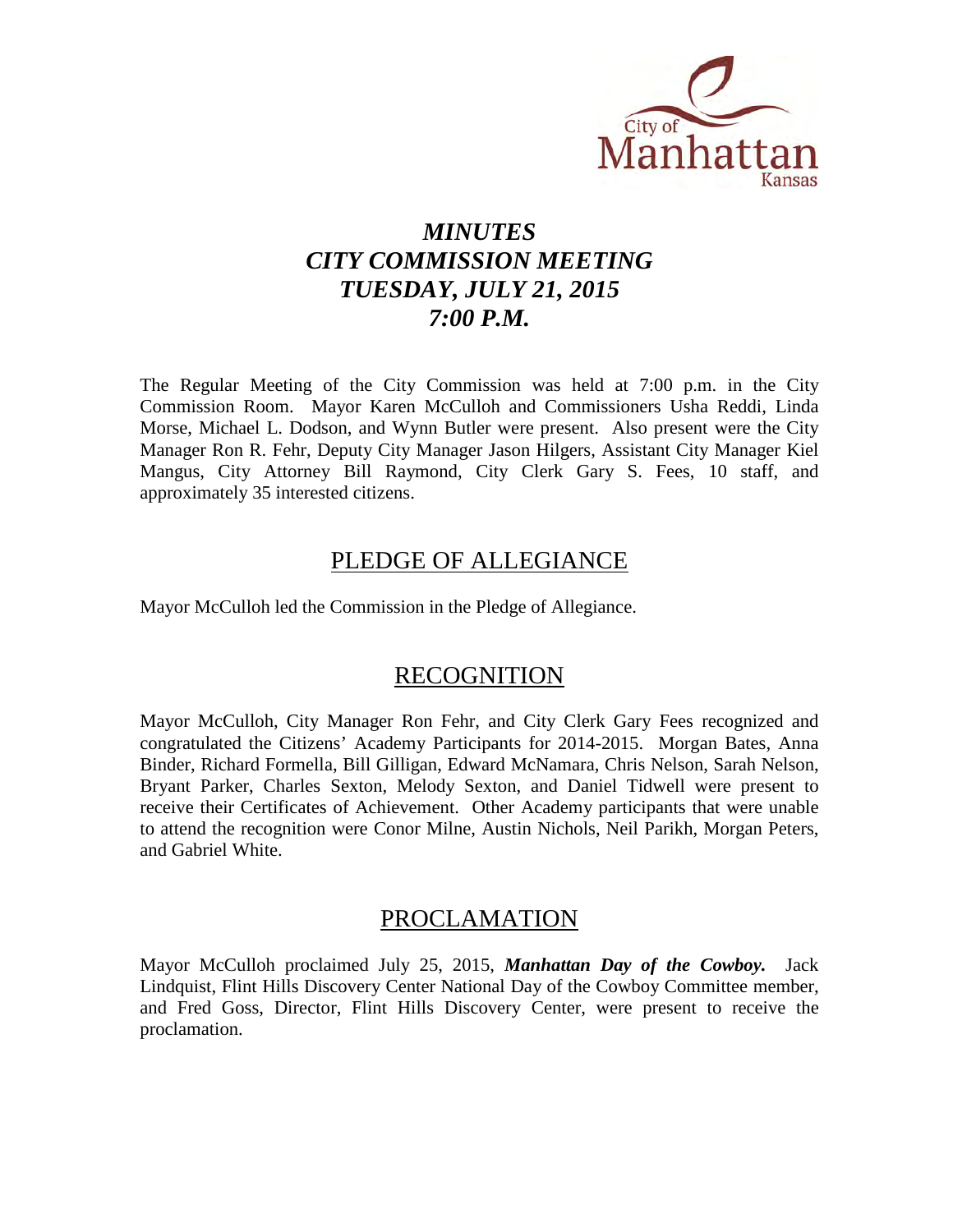

# *MINUTES CITY COMMISSION MEETING TUESDAY, JULY 21, 2015 7:00 P.M.*

The Regular Meeting of the City Commission was held at 7:00 p.m. in the City Commission Room. Mayor Karen McCulloh and Commissioners Usha Reddi, Linda Morse, Michael L. Dodson, and Wynn Butler were present. Also present were the City Manager Ron R. Fehr, Deputy City Manager Jason Hilgers, Assistant City Manager Kiel Mangus, City Attorney Bill Raymond, City Clerk Gary S. Fees, 10 staff, and approximately 35 interested citizens.

# PLEDGE OF ALLEGIANCE

Mayor McCulloh led the Commission in the Pledge of Allegiance.

## RECOGNITION

Mayor McCulloh, City Manager Ron Fehr, and City Clerk Gary Fees recognized and congratulated the Citizens' Academy Participants for 2014-2015. Morgan Bates, Anna Binder, Richard Formella, Bill Gilligan, Edward McNamara, Chris Nelson, Sarah Nelson, Bryant Parker, Charles Sexton, Melody Sexton, and Daniel Tidwell were present to receive their Certificates of Achievement. Other Academy participants that were unable to attend the recognition were Conor Milne, Austin Nichols, Neil Parikh, Morgan Peters, and Gabriel White.

# PROCLAMATION

Mayor McCulloh proclaimed July 25, 2015, *Manhattan Day of the Cowboy.* Jack Lindquist, Flint Hills Discovery Center National Day of the Cowboy Committee member, and Fred Goss, Director, Flint Hills Discovery Center, were present to receive the proclamation.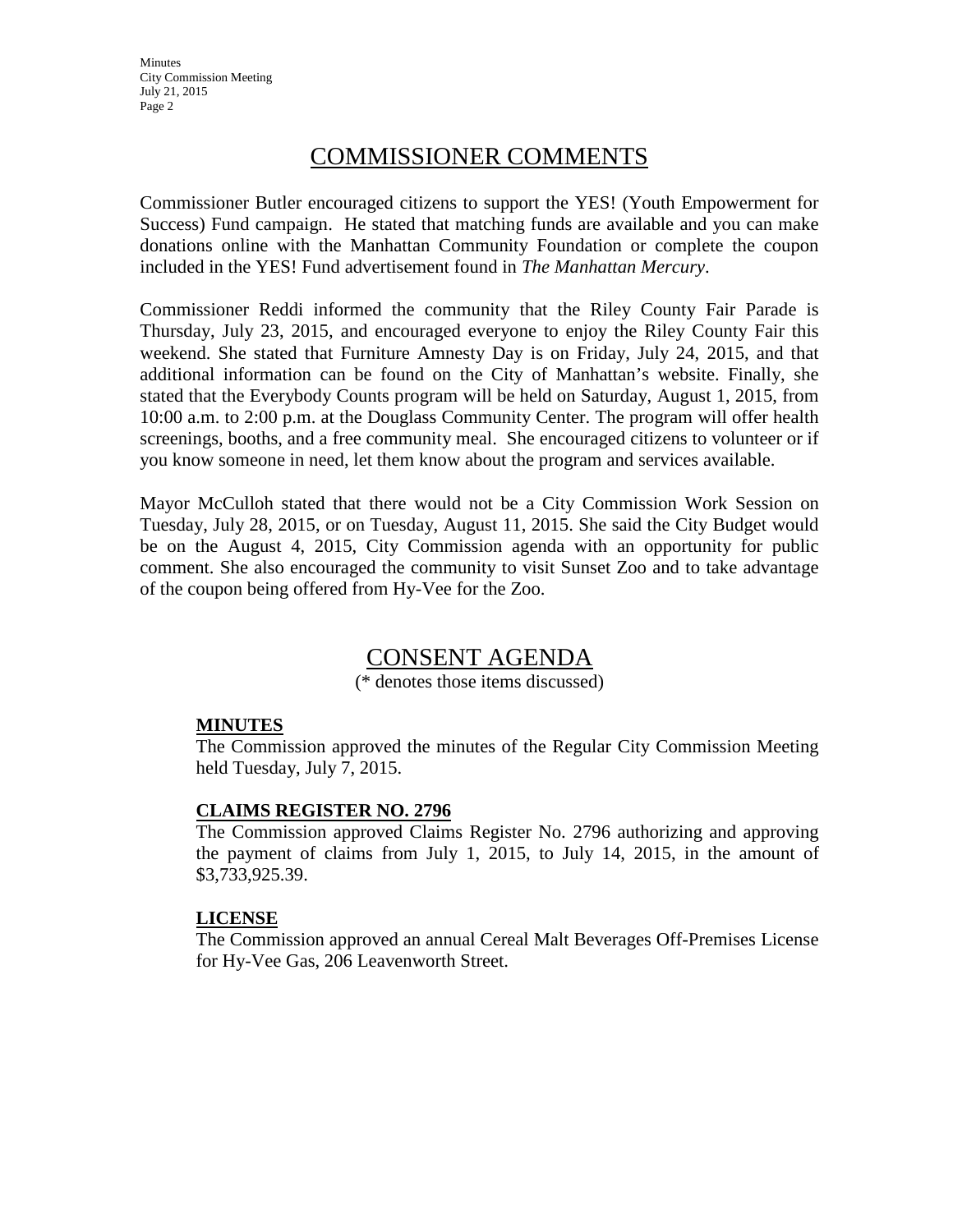Minutes City Commission Meeting July 21, 2015 Page 2

# COMMISSIONER COMMENTS

Commissioner Butler encouraged citizens to support the YES! (Youth Empowerment for Success) Fund campaign. He stated that matching funds are available and you can make donations online with the Manhattan Community Foundation or complete the coupon included in the YES! Fund advertisement found in *The Manhattan Mercury*.

Commissioner Reddi informed the community that the Riley County Fair Parade is Thursday, July 23, 2015, and encouraged everyone to enjoy the Riley County Fair this weekend. She stated that Furniture Amnesty Day is on Friday, July 24, 2015, and that additional information can be found on the City of Manhattan's website. Finally, she stated that the Everybody Counts program will be held on Saturday, August 1, 2015, from 10:00 a.m. to 2:00 p.m. at the Douglass Community Center. The program will offer health screenings, booths, and a free community meal. She encouraged citizens to volunteer or if you know someone in need, let them know about the program and services available.

Mayor McCulloh stated that there would not be a City Commission Work Session on Tuesday, July 28, 2015, or on Tuesday, August 11, 2015. She said the City Budget would be on the August 4, 2015, City Commission agenda with an opportunity for public comment. She also encouraged the community to visit Sunset Zoo and to take advantage of the coupon being offered from Hy-Vee for the Zoo.

# CONSENT AGENDA

(\* denotes those items discussed)

## **MINUTES**

The Commission approved the minutes of the Regular City Commission Meeting held Tuesday, July 7, 2015.

## **CLAIMS REGISTER NO. 2796**

The Commission approved Claims Register No. 2796 authorizing and approving the payment of claims from July 1, 2015, to July 14, 2015, in the amount of \$3,733,925.39.

#### **LICENSE**

The Commission approved an annual Cereal Malt Beverages Off-Premises License for Hy-Vee Gas, 206 Leavenworth Street.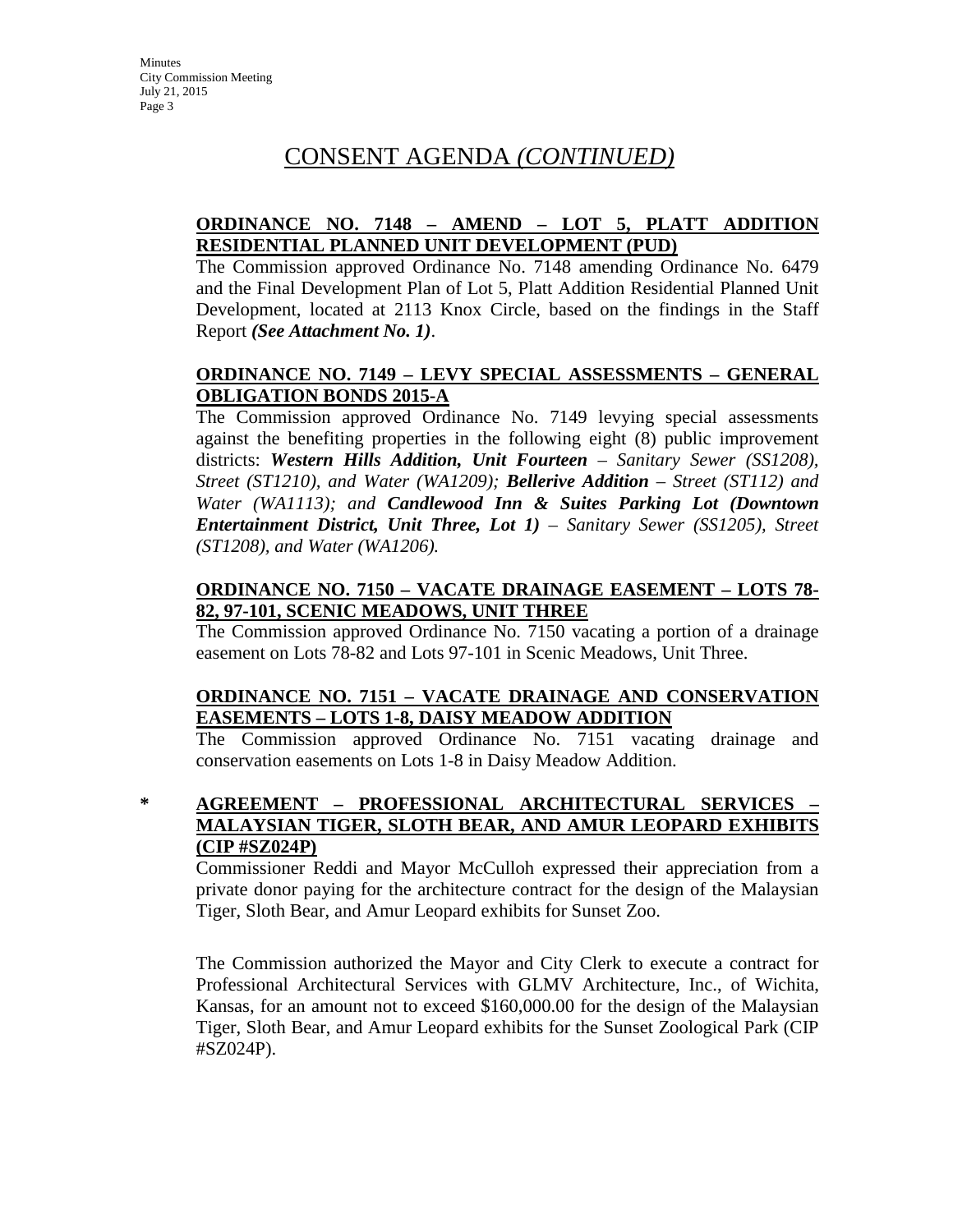# CONSENT AGENDA *(CONTINUED)*

## **ORDINANCE NO. 7148 – AMEND – LOT 5, PLATT ADDITION RESIDENTIAL PLANNED UNIT DEVELOPMENT (PUD)**

The Commission approved Ordinance No. 7148 amending Ordinance No. 6479 and the Final Development Plan of Lot 5, Platt Addition Residential Planned Unit Development, located at 2113 Knox Circle, based on the findings in the Staff Report *(See Attachment No. 1)*.

## **ORDINANCE NO. 7149 – LEVY SPECIAL ASSESSMENTS – GENERAL OBLIGATION BONDS 2015-A**

The Commission approved Ordinance No. 7149 levying special assessments against the benefiting properties in the following eight (8) public improvement districts: *Western Hills Addition, Unit Fourteen – Sanitary Sewer (SS1208), Street (ST1210), and Water (WA1209); Bellerive Addition – Street (ST112) and Water (WA1113); and Candlewood Inn & Suites Parking Lot (Downtown Entertainment District, Unit Three, Lot 1) – Sanitary Sewer (SS1205), Street (ST1208), and Water (WA1206).*

## **ORDINANCE NO. 7150 – VACATE DRAINAGE EASEMENT – LOTS 78- 82, 97-101, SCENIC MEADOWS, UNIT THREE**

The Commission approved Ordinance No. 7150 vacating a portion of a drainage easement on Lots 78-82 and Lots 97-101 in Scenic Meadows, Unit Three.

## **ORDINANCE NO. 7151 – VACATE DRAINAGE AND CONSERVATION EASEMENTS – LOTS 1-8, DAISY MEADOW ADDITION**

The Commission approved Ordinance No. 7151 vacating drainage and conservation easements on Lots 1-8 in Daisy Meadow Addition.

## **\* AGREEMENT – PROFESSIONAL ARCHITECTURAL SERVICES – MALAYSIAN TIGER, SLOTH BEAR, AND AMUR LEOPARD EXHIBITS (CIP #SZ024P)**

Commissioner Reddi and Mayor McCulloh expressed their appreciation from a private donor paying for the architecture contract for the design of the Malaysian Tiger, Sloth Bear, and Amur Leopard exhibits for Sunset Zoo.

The Commission authorized the Mayor and City Clerk to execute a contract for Professional Architectural Services with GLMV Architecture, Inc., of Wichita, Kansas, for an amount not to exceed \$160,000.00 for the design of the Malaysian Tiger, Sloth Bear, and Amur Leopard exhibits for the Sunset Zoological Park (CIP #SZ024P).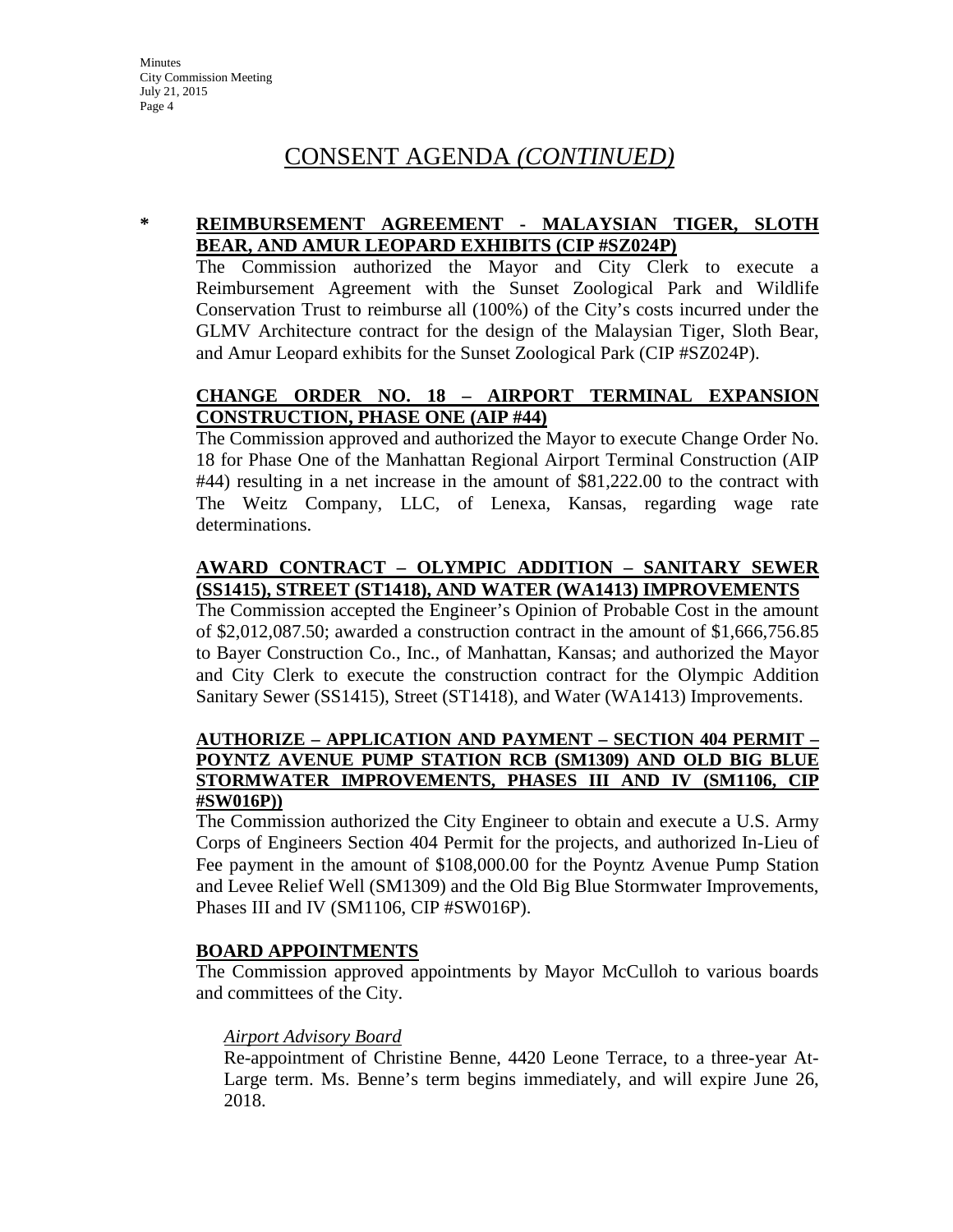# CONSENT AGENDA *(CONTINUED)*

### **\* REIMBURSEMENT AGREEMENT - MALAYSIAN TIGER, SLOTH BEAR, AND AMUR LEOPARD EXHIBITS (CIP #SZ024P)**

The Commission authorized the Mayor and City Clerk to execute a Reimbursement Agreement with the Sunset Zoological Park and Wildlife Conservation Trust to reimburse all (100%) of the City's costs incurred under the GLMV Architecture contract for the design of the Malaysian Tiger, Sloth Bear, and Amur Leopard exhibits for the Sunset Zoological Park (CIP #SZ024P).

## **CHANGE ORDER NO. 18 – AIRPORT TERMINAL EXPANSION CONSTRUCTION, PHASE ONE (AIP #44)**

The Commission approved and authorized the Mayor to execute Change Order No. 18 for Phase One of the Manhattan Regional Airport Terminal Construction (AIP #44) resulting in a net increase in the amount of \$81,222.00 to the contract with The Weitz Company, LLC, of Lenexa, Kansas, regarding wage rate determinations.

## **AWARD CONTRACT – OLYMPIC ADDITION – SANITARY SEWER (SS1415), STREET (ST1418), AND WATER (WA1413) IMPROVEMENTS**

The Commission accepted the Engineer's Opinion of Probable Cost in the amount of \$2,012,087.50; awarded a construction contract in the amount of \$1,666,756.85 to Bayer Construction Co., Inc., of Manhattan, Kansas; and authorized the Mayor and City Clerk to execute the construction contract for the Olympic Addition Sanitary Sewer (SS1415), Street (ST1418), and Water (WA1413) Improvements.

#### **AUTHORIZE – APPLICATION AND PAYMENT – SECTION 404 PERMIT – POYNTZ AVENUE PUMP STATION RCB (SM1309) AND OLD BIG BLUE STORMWATER IMPROVEMENTS, PHASES III AND IV (SM1106, CIP #SW016P))**

The Commission authorized the City Engineer to obtain and execute a U.S. Army Corps of Engineers Section 404 Permit for the projects, and authorized In-Lieu of Fee payment in the amount of \$108,000.00 for the Poyntz Avenue Pump Station and Levee Relief Well (SM1309) and the Old Big Blue Stormwater Improvements, Phases III and IV (SM1106, CIP #SW016P).

#### **BOARD APPOINTMENTS**

The Commission approved appointments by Mayor McCulloh to various boards and committees of the City.

#### *Airport Advisory Board*

Re-appointment of Christine Benne, 4420 Leone Terrace, to a three-year At-Large term. Ms. Benne's term begins immediately, and will expire June 26, 2018.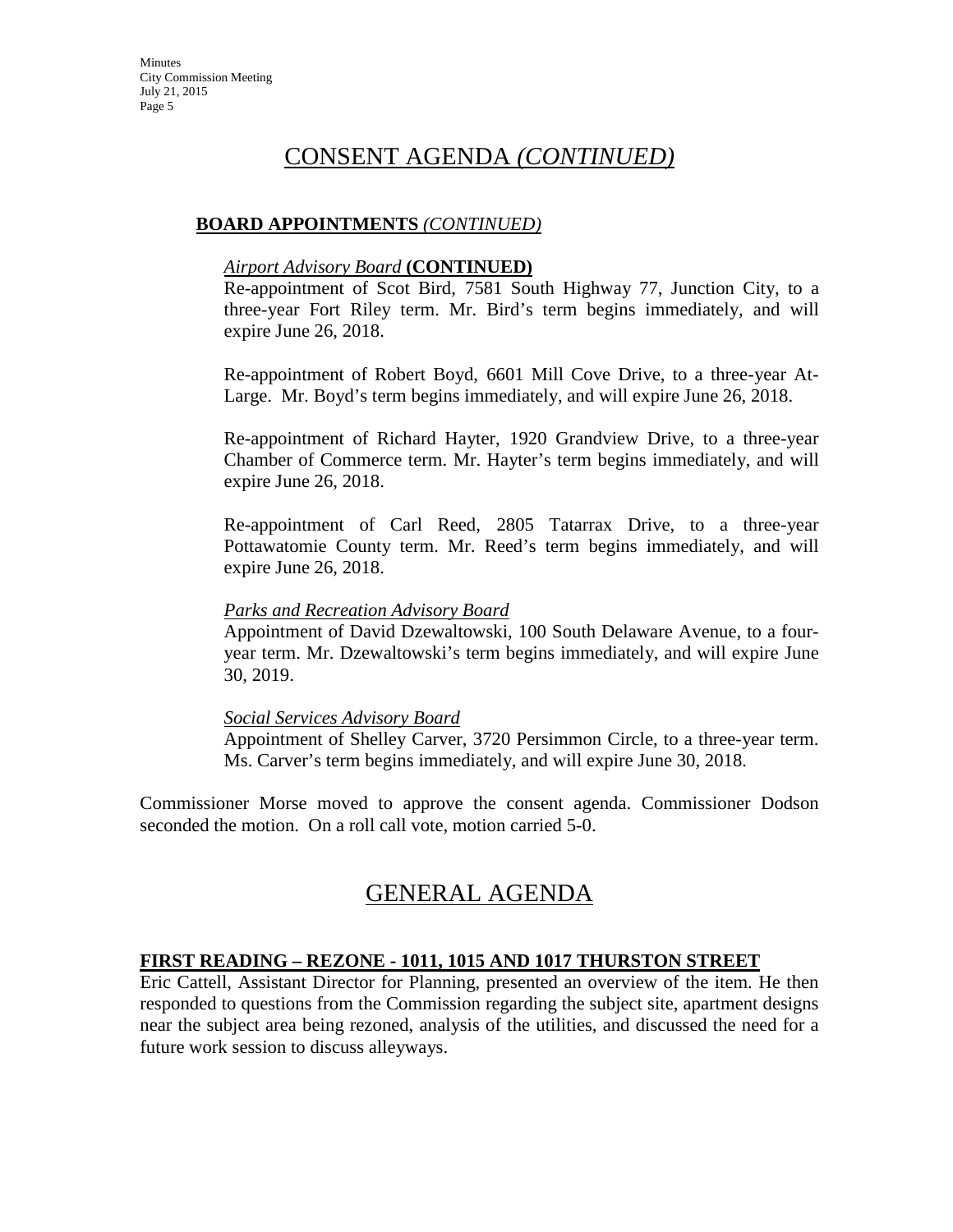# CONSENT AGENDA *(CONTINUED)*

## **BOARD APPOINTMENTS** *(CONTINUED)*

#### *Airport Advisory Board* **(CONTINUED)**

Re-appointment of Scot Bird, 7581 South Highway 77, Junction City, to a three-year Fort Riley term. Mr. Bird's term begins immediately, and will expire June 26, 2018.

Re-appointment of Robert Boyd, 6601 Mill Cove Drive, to a three-year At-Large. Mr. Boyd's term begins immediately, and will expire June 26, 2018.

Re-appointment of Richard Hayter, 1920 Grandview Drive, to a three-year Chamber of Commerce term. Mr. Hayter's term begins immediately, and will expire June 26, 2018.

Re-appointment of Carl Reed, 2805 Tatarrax Drive, to a three-year Pottawatomie County term. Mr. Reed's term begins immediately, and will expire June 26, 2018.

#### *Parks and Recreation Advisory Board*

Appointment of David Dzewaltowski, 100 South Delaware Avenue, to a fouryear term. Mr. Dzewaltowski's term begins immediately, and will expire June 30, 2019.

#### *Social Services Advisory Board*

Appointment of Shelley Carver, 3720 Persimmon Circle, to a three-year term. Ms. Carver's term begins immediately, and will expire June 30, 2018.

Commissioner Morse moved to approve the consent agenda. Commissioner Dodson seconded the motion. On a roll call vote, motion carried 5-0.

# GENERAL AGENDA

#### **FIRST READING – REZONE - 1011, 1015 AND 1017 THURSTON STREET**

Eric Cattell, Assistant Director for Planning, presented an overview of the item. He then responded to questions from the Commission regarding the subject site, apartment designs near the subject area being rezoned, analysis of the utilities, and discussed the need for a future work session to discuss alleyways.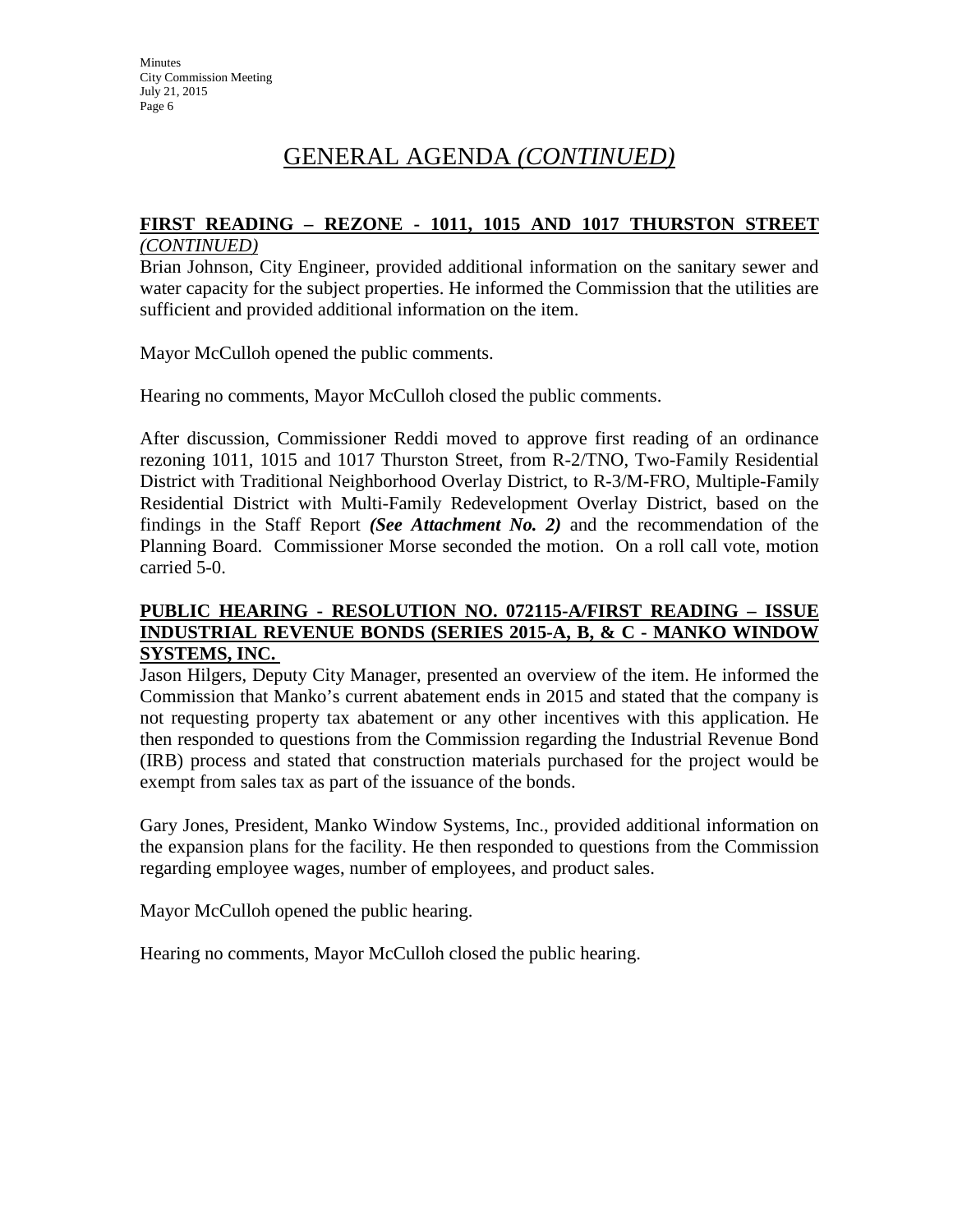# GENERAL AGENDA *(CONTINUED)*

# **FIRST READING – REZONE - 1011, 1015 AND 1017 THURSTON STREET**

## *(CONTINUED)*

Brian Johnson, City Engineer, provided additional information on the sanitary sewer and water capacity for the subject properties. He informed the Commission that the utilities are sufficient and provided additional information on the item.

Mayor McCulloh opened the public comments.

Hearing no comments, Mayor McCulloh closed the public comments.

After discussion, Commissioner Reddi moved to approve first reading of an ordinance rezoning 1011, 1015 and 1017 Thurston Street, from R-2/TNO, Two-Family Residential District with Traditional Neighborhood Overlay District, to R-3/M-FRO, Multiple-Family Residential District with Multi-Family Redevelopment Overlay District, based on the findings in the Staff Report *(See Attachment No. 2)* and the recommendation of the Planning Board. Commissioner Morse seconded the motion. On a roll call vote, motion carried 5-0.

## **PUBLIC HEARING - RESOLUTION NO. 072115-A/FIRST READING – ISSUE INDUSTRIAL REVENUE BONDS (SERIES 2015-A, B, & C - MANKO WINDOW SYSTEMS, INC.**

Jason Hilgers, Deputy City Manager, presented an overview of the item. He informed the Commission that Manko's current abatement ends in 2015 and stated that the company is not requesting property tax abatement or any other incentives with this application. He then responded to questions from the Commission regarding the Industrial Revenue Bond (IRB) process and stated that construction materials purchased for the project would be exempt from sales tax as part of the issuance of the bonds.

Gary Jones, President, Manko Window Systems, Inc., provided additional information on the expansion plans for the facility. He then responded to questions from the Commission regarding employee wages, number of employees, and product sales.

Mayor McCulloh opened the public hearing.

Hearing no comments, Mayor McCulloh closed the public hearing.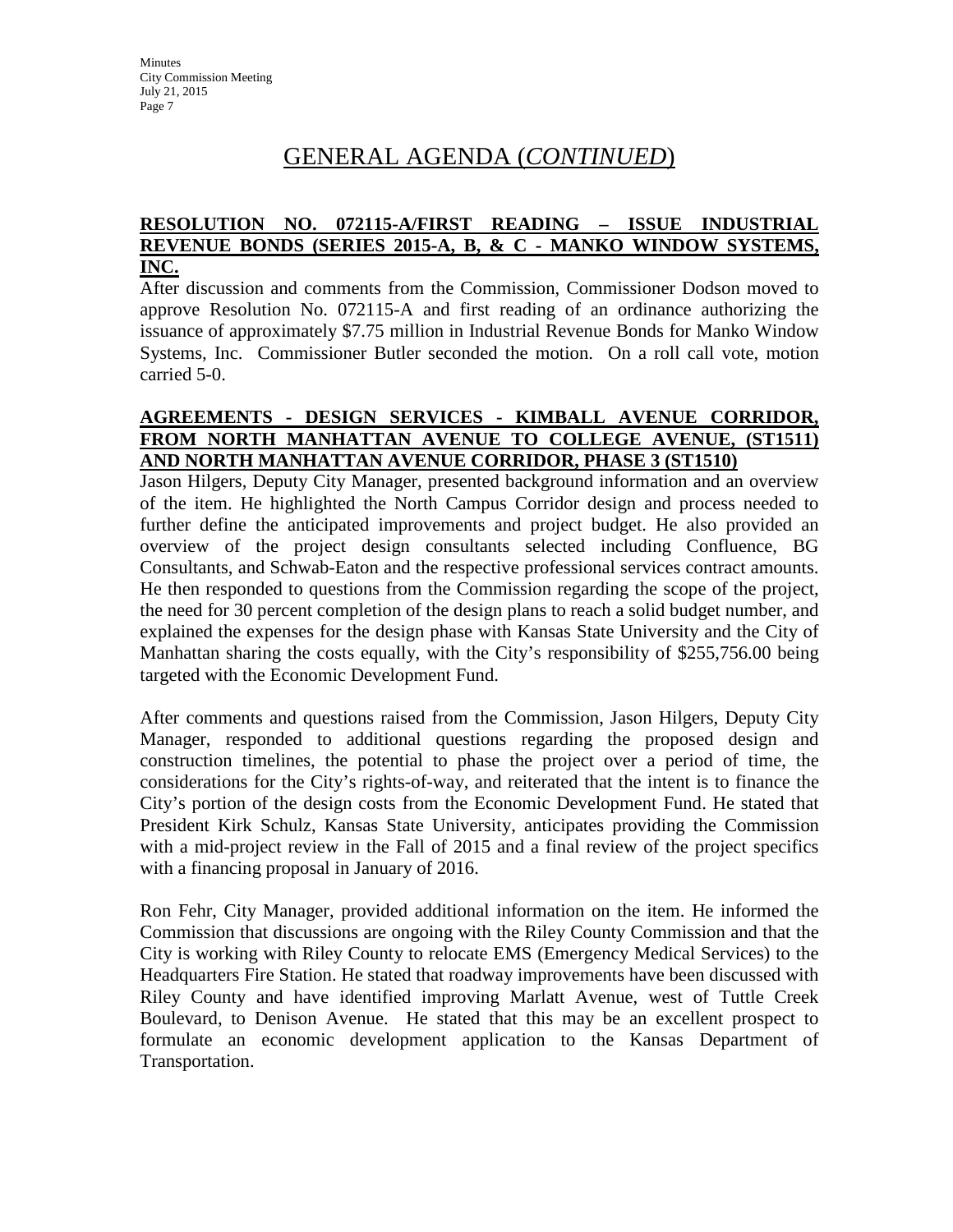# GENERAL AGENDA (*CONTINUED*)

#### **RESOLUTION NO. 072115-A/FIRST READING – ISSUE INDUSTRIAL REVENUE BONDS (SERIES 2015-A, B, & C - MANKO WINDOW SYSTEMS, INC.**

After discussion and comments from the Commission, Commissioner Dodson moved to approve Resolution No. 072115-A and first reading of an ordinance authorizing the issuance of approximately \$7.75 million in Industrial Revenue Bonds for Manko Window Systems, Inc. Commissioner Butler seconded the motion. On a roll call vote, motion carried 5-0.

## **AGREEMENTS - DESIGN SERVICES - KIMBALL AVENUE CORRIDOR, FROM NORTH MANHATTAN AVENUE TO COLLEGE AVENUE, (ST1511) AND NORTH MANHATTAN AVENUE CORRIDOR, PHASE 3 (ST1510)**

Jason Hilgers, Deputy City Manager, presented background information and an overview of the item. He highlighted the North Campus Corridor design and process needed to further define the anticipated improvements and project budget. He also provided an overview of the project design consultants selected including Confluence, BG Consultants, and Schwab-Eaton and the respective professional services contract amounts. He then responded to questions from the Commission regarding the scope of the project, the need for 30 percent completion of the design plans to reach a solid budget number, and explained the expenses for the design phase with Kansas State University and the City of Manhattan sharing the costs equally, with the City's responsibility of \$255,756.00 being targeted with the Economic Development Fund.

After comments and questions raised from the Commission, Jason Hilgers, Deputy City Manager, responded to additional questions regarding the proposed design and construction timelines, the potential to phase the project over a period of time, the considerations for the City's rights-of-way, and reiterated that the intent is to finance the City's portion of the design costs from the Economic Development Fund. He stated that President Kirk Schulz, Kansas State University, anticipates providing the Commission with a mid-project review in the Fall of 2015 and a final review of the project specifics with a financing proposal in January of 2016.

Ron Fehr, City Manager, provided additional information on the item. He informed the Commission that discussions are ongoing with the Riley County Commission and that the City is working with Riley County to relocate EMS (Emergency Medical Services) to the Headquarters Fire Station. He stated that roadway improvements have been discussed with Riley County and have identified improving Marlatt Avenue, west of Tuttle Creek Boulevard, to Denison Avenue. He stated that this may be an excellent prospect to formulate an economic development application to the Kansas Department of Transportation.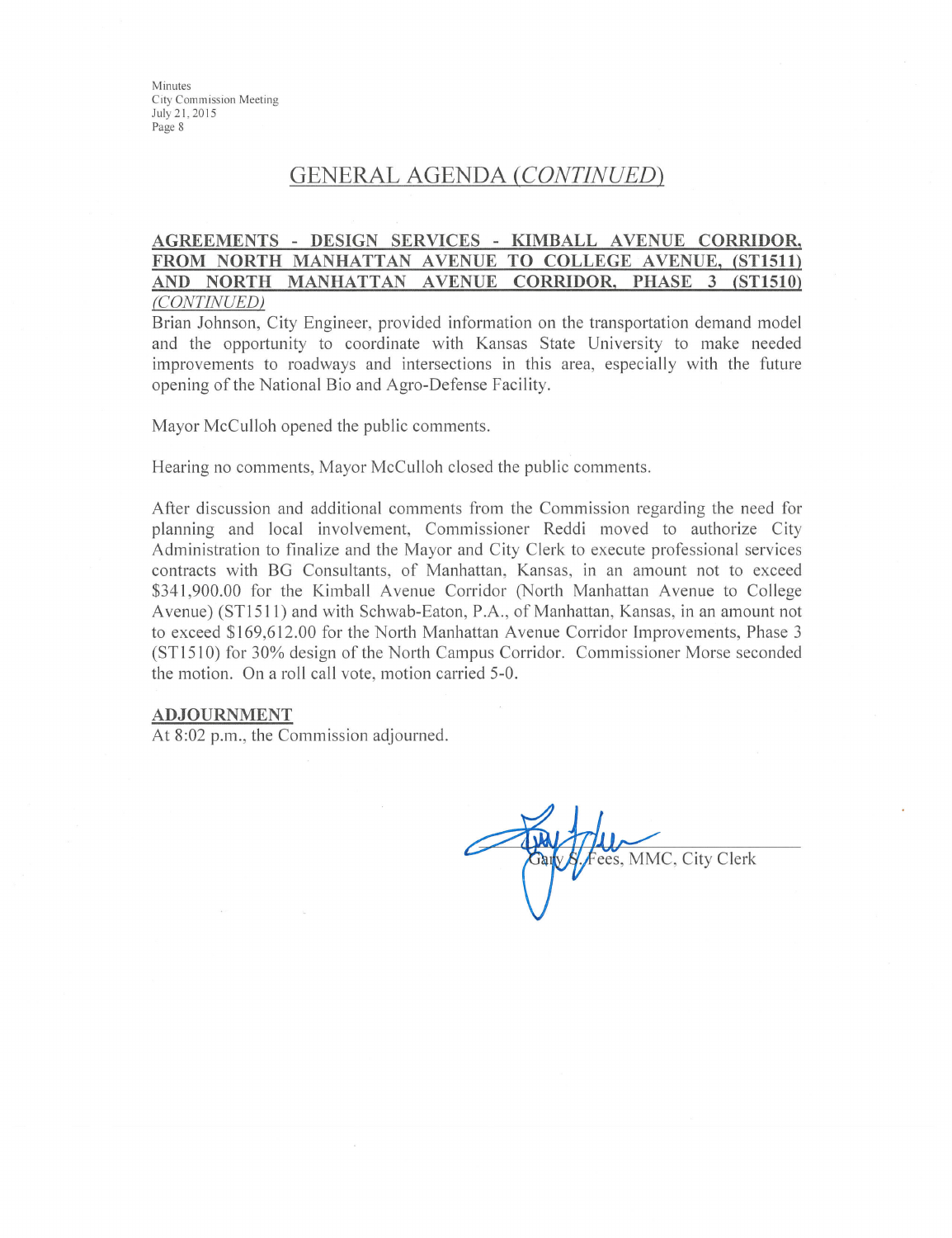Minutes City Commission Meeting July 21, 2015 Page 8

## **GENERAL AGENDA (CONTINUED)**

#### AGREEMENTS - DESIGN SERVICES - KIMBALL AVENUE CORRIDOR, FROM NORTH MANHATTAN AVENUE TO COLLEGE AVENUE, (ST1511) AND NORTH MANHATTAN AVENUE CORRIDOR, PHASE 3 (ST1510) (CONTINUED)

Brian Johnson, City Engineer, provided information on the transportation demand model and the opportunity to coordinate with Kansas State University to make needed improvements to roadways and intersections in this area, especially with the future opening of the National Bio and Agro-Defense Facility.

Mayor McCulloh opened the public comments.

Hearing no comments, Mayor McCulloh closed the public comments.

After discussion and additional comments from the Commission regarding the need for planning and local involvement, Commissioner Reddi moved to authorize City Administration to finalize and the Mayor and City Clerk to execute professional services contracts with BG Consultants, of Manhattan, Kansas, in an amount not to exceed \$341,900.00 for the Kimball Avenue Corridor (North Manhattan Avenue to College Avenue) (ST1511) and with Schwab-Eaton, P.A., of Manhattan, Kansas, in an amount not to exceed \$169,612.00 for the North Manhattan Avenue Corridor Improvements, Phase 3 (ST1510) for 30% design of the North Campus Corridor. Commissioner Morse seconded the motion. On a roll call vote, motion carried 5-0.

#### **ADJOURNMENT**

At 8:02 p.m., the Commission adjourned.

ees, MMC, City Clerk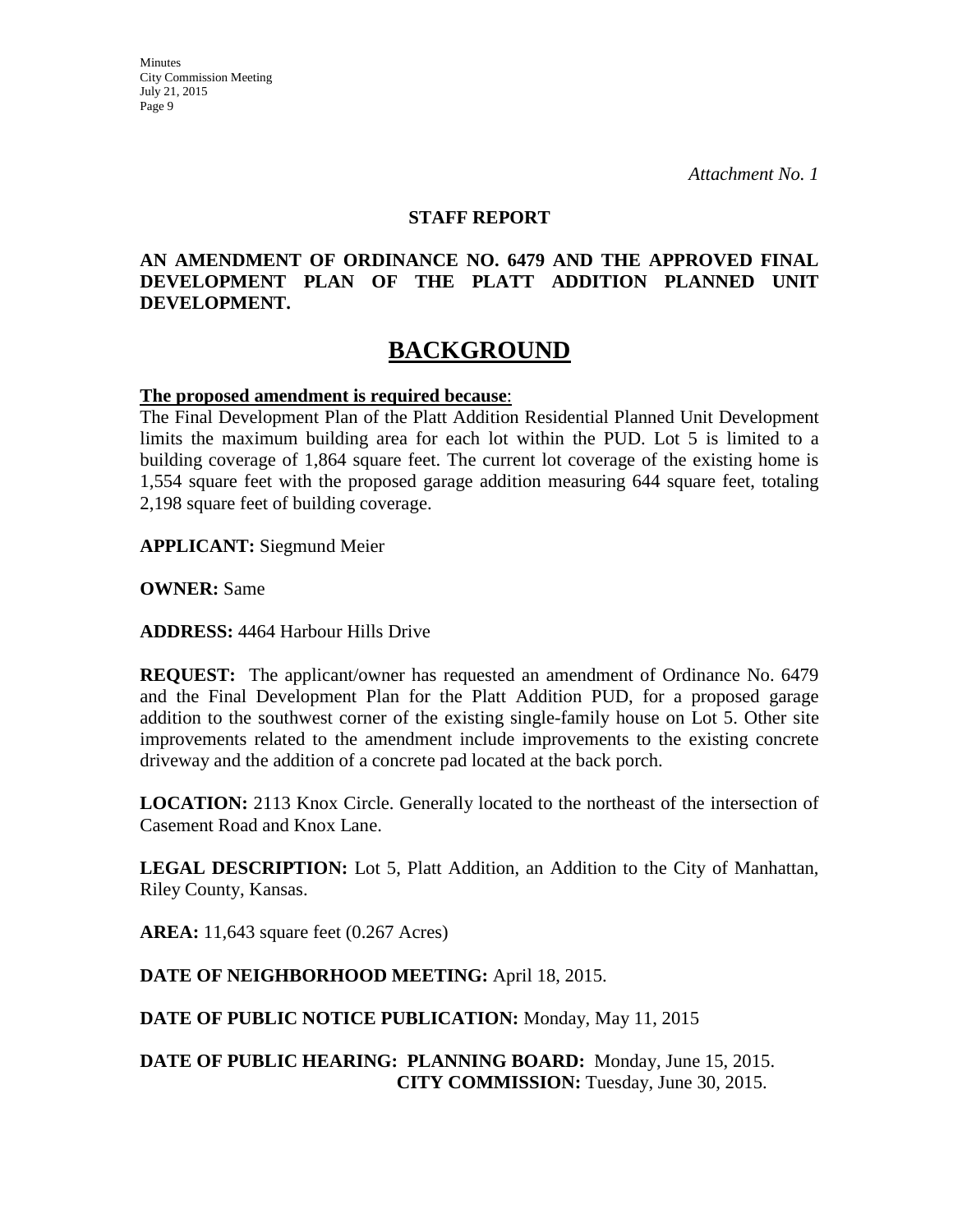#### **STAFF REPORT**

### **AN AMENDMENT OF ORDINANCE NO. 6479 AND THE APPROVED FINAL DEVELOPMENT PLAN OF THE PLATT ADDITION PLANNED UNIT DEVELOPMENT.**

# **BACKGROUND**

#### **The proposed amendment is required because**:

The Final Development Plan of the Platt Addition Residential Planned Unit Development limits the maximum building area for each lot within the PUD. Lot 5 is limited to a building coverage of 1,864 square feet. The current lot coverage of the existing home is 1,554 square feet with the proposed garage addition measuring 644 square feet, totaling 2,198 square feet of building coverage.

**APPLICANT:** Siegmund Meier

**OWNER:** Same

**ADDRESS:** 4464 Harbour Hills Drive

**REQUEST:** The applicant/owner has requested an amendment of Ordinance No. 6479 and the Final Development Plan for the Platt Addition PUD, for a proposed garage addition to the southwest corner of the existing single-family house on Lot 5. Other site improvements related to the amendment include improvements to the existing concrete driveway and the addition of a concrete pad located at the back porch.

**LOCATION:** 2113 Knox Circle. Generally located to the northeast of the intersection of Casement Road and Knox Lane.

**LEGAL DESCRIPTION:** Lot 5, Platt Addition, an Addition to the City of Manhattan, Riley County, Kansas.

**AREA:** 11,643 square feet (0.267 Acres)

## **DATE OF NEIGHBORHOOD MEETING:** April 18, 2015.

**DATE OF PUBLIC NOTICE PUBLICATION:** Monday, May 11, 2015

### **DATE OF PUBLIC HEARING: PLANNING BOARD:** Monday, June 15, 2015. **CITY COMMISSION:** Tuesday, June 30, 2015.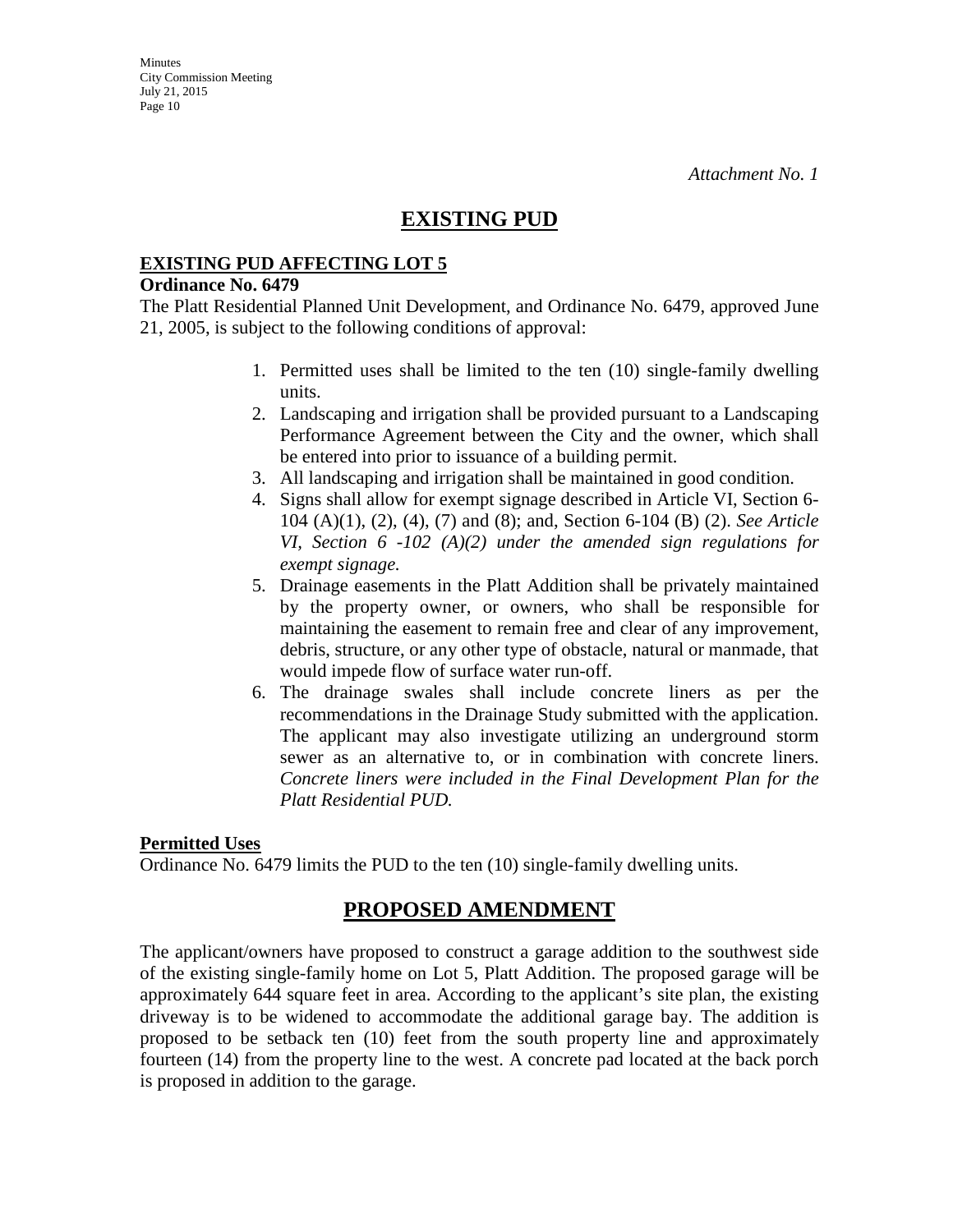## **EXISTING PUD**

#### **EXISTING PUD AFFECTING LOT 5**

#### **Ordinance No. 6479**

The Platt Residential Planned Unit Development, and Ordinance No. 6479, approved June 21, 2005, is subject to the following conditions of approval:

- 1. Permitted uses shall be limited to the ten (10) single-family dwelling units.
- 2. Landscaping and irrigation shall be provided pursuant to a Landscaping Performance Agreement between the City and the owner, which shall be entered into prior to issuance of a building permit.
- 3. All landscaping and irrigation shall be maintained in good condition.
- 4. Signs shall allow for exempt signage described in Article VI, Section 6- 104 (A)(1), (2), (4), (7) and (8); and, Section 6-104 (B) (2). *See Article VI, Section 6 -102 (A)(2) under the amended sign regulations for exempt signage.*
- 5. Drainage easements in the Platt Addition shall be privately maintained by the property owner, or owners, who shall be responsible for maintaining the easement to remain free and clear of any improvement, debris, structure, or any other type of obstacle, natural or manmade, that would impede flow of surface water run-off.
- 6. The drainage swales shall include concrete liners as per the recommendations in the Drainage Study submitted with the application. The applicant may also investigate utilizing an underground storm sewer as an alternative to, or in combination with concrete liners. *Concrete liners were included in the Final Development Plan for the Platt Residential PUD.*

#### **Permitted Uses**

Ordinance No. 6479 limits the PUD to the ten (10) single-family dwelling units.

## **PROPOSED AMENDMENT**

The applicant/owners have proposed to construct a garage addition to the southwest side of the existing single-family home on Lot 5, Platt Addition. The proposed garage will be approximately 644 square feet in area. According to the applicant's site plan, the existing driveway is to be widened to accommodate the additional garage bay. The addition is proposed to be setback ten (10) feet from the south property line and approximately fourteen (14) from the property line to the west. A concrete pad located at the back porch is proposed in addition to the garage.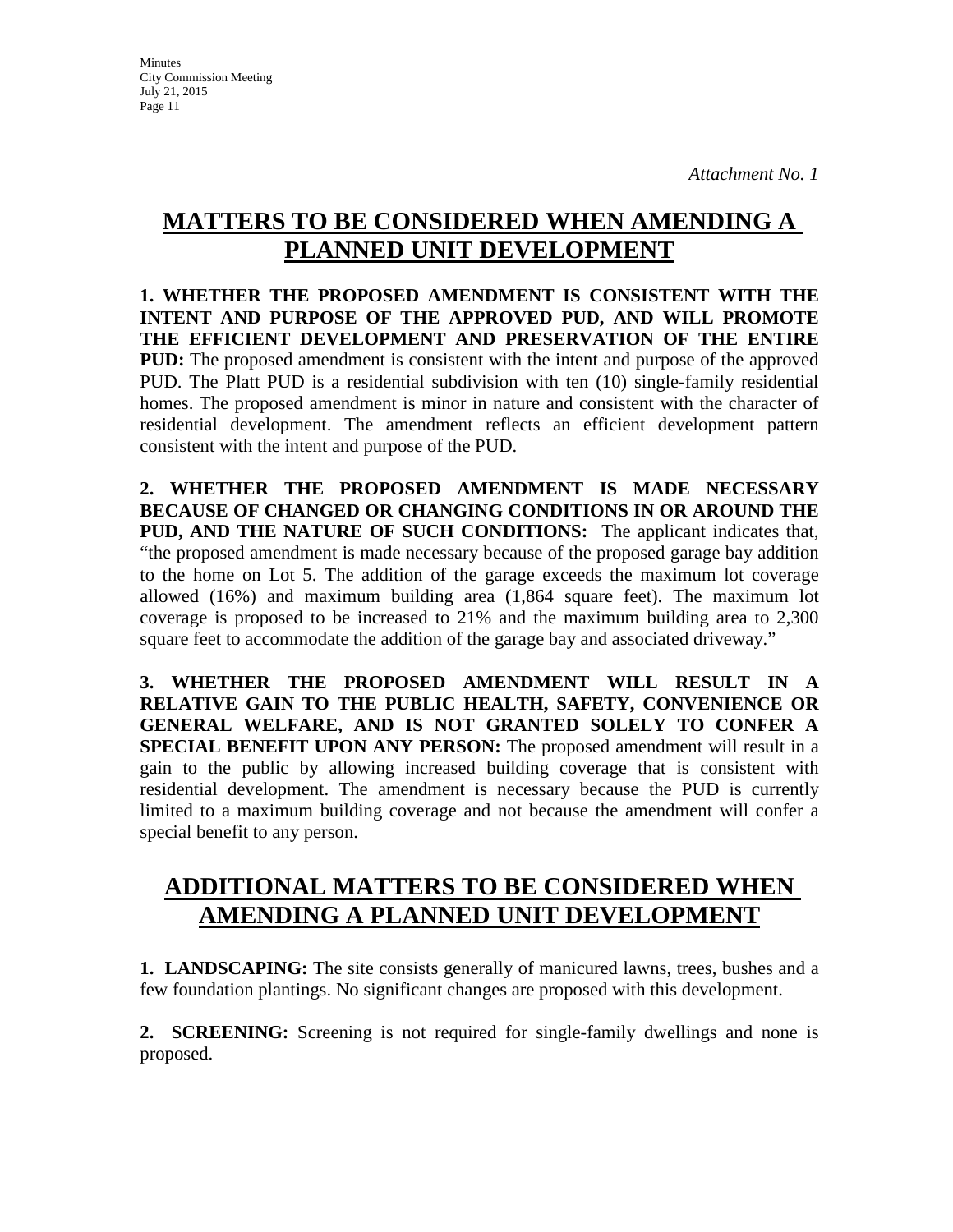**Minutes** City Commission Meeting July 21, 2015 Page 11

# **MATTERS TO BE CONSIDERED WHEN AMENDING A PLANNED UNIT DEVELOPMENT**

**1. WHETHER THE PROPOSED AMENDMENT IS CONSISTENT WITH THE INTENT AND PURPOSE OF THE APPROVED PUD, AND WILL PROMOTE THE EFFICIENT DEVELOPMENT AND PRESERVATION OF THE ENTIRE PUD:** The proposed amendment is consistent with the intent and purpose of the approved PUD. The Platt PUD is a residential subdivision with ten (10) single-family residential homes. The proposed amendment is minor in nature and consistent with the character of residential development. The amendment reflects an efficient development pattern consistent with the intent and purpose of the PUD.

**2. WHETHER THE PROPOSED AMENDMENT IS MADE NECESSARY BECAUSE OF CHANGED OR CHANGING CONDITIONS IN OR AROUND THE PUD, AND THE NATURE OF SUCH CONDITIONS:** The applicant indicates that, "the proposed amendment is made necessary because of the proposed garage bay addition to the home on Lot 5. The addition of the garage exceeds the maximum lot coverage allowed (16%) and maximum building area (1,864 square feet). The maximum lot coverage is proposed to be increased to 21% and the maximum building area to 2,300 square feet to accommodate the addition of the garage bay and associated driveway."

**3. WHETHER THE PROPOSED AMENDMENT WILL RESULT IN A RELATIVE GAIN TO THE PUBLIC HEALTH, SAFETY, CONVENIENCE OR GENERAL WELFARE, AND IS NOT GRANTED SOLELY TO CONFER A SPECIAL BENEFIT UPON ANY PERSON:** The proposed amendment will result in a gain to the public by allowing increased building coverage that is consistent with residential development. The amendment is necessary because the PUD is currently limited to a maximum building coverage and not because the amendment will confer a special benefit to any person.

# **ADDITIONAL MATTERS TO BE CONSIDERED WHEN AMENDING A PLANNED UNIT DEVELOPMENT**

**1. LANDSCAPING:** The site consists generally of manicured lawns, trees, bushes and a few foundation plantings. No significant changes are proposed with this development.

**2. SCREENING:** Screening is not required for single-family dwellings and none is proposed.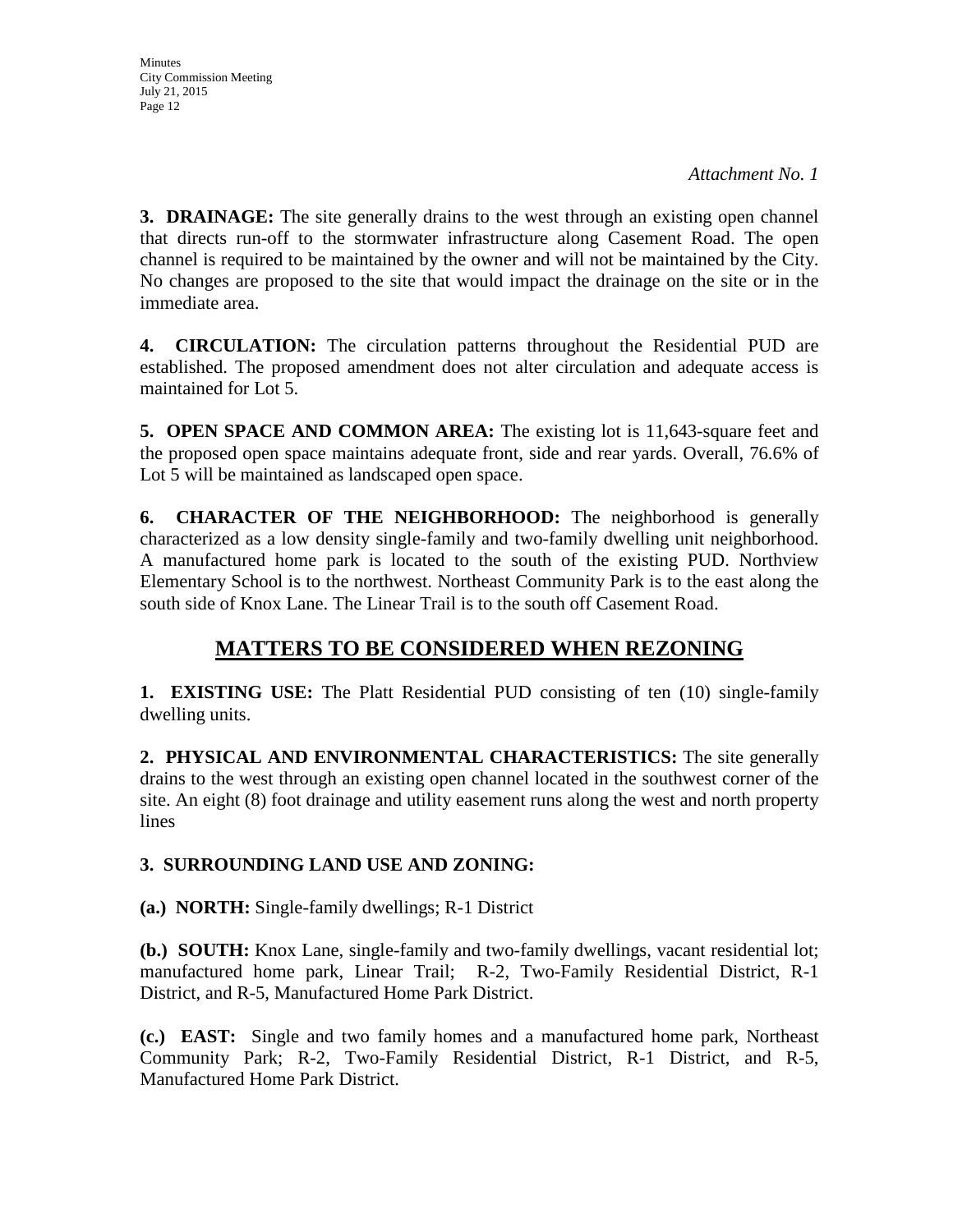**3. DRAINAGE:** The site generally drains to the west through an existing open channel that directs run-off to the stormwater infrastructure along Casement Road. The open channel is required to be maintained by the owner and will not be maintained by the City. No changes are proposed to the site that would impact the drainage on the site or in the immediate area.

**4. CIRCULATION:** The circulation patterns throughout the Residential PUD are established. The proposed amendment does not alter circulation and adequate access is maintained for Lot 5.

**5. OPEN SPACE AND COMMON AREA:** The existing lot is 11,643-square feet and the proposed open space maintains adequate front, side and rear yards. Overall, 76.6% of Lot 5 will be maintained as landscaped open space.

**6. CHARACTER OF THE NEIGHBORHOOD:** The neighborhood is generally characterized as a low density single-family and two-family dwelling unit neighborhood. A manufactured home park is located to the south of the existing PUD. Northview Elementary School is to the northwest. Northeast Community Park is to the east along the south side of Knox Lane. The Linear Trail is to the south off Casement Road.

# **MATTERS TO BE CONSIDERED WHEN REZONING**

**1. EXISTING USE:** The Platt Residential PUD consisting of ten (10) single-family dwelling units.

**2. PHYSICAL AND ENVIRONMENTAL CHARACTERISTICS:** The site generally drains to the west through an existing open channel located in the southwest corner of the site. An eight (8) foot drainage and utility easement runs along the west and north property lines

## **3. SURROUNDING LAND USE AND ZONING:**

**(a.) NORTH:** Single-family dwellings; R-1 District

**(b.) SOUTH:** Knox Lane, single-family and two-family dwellings, vacant residential lot; manufactured home park, Linear Trail;R-2, Two-Family Residential District, R-1 District, and R-5, Manufactured Home Park District.

**(c.) EAST:** Single and two family homes and a manufactured home park, Northeast Community Park; R-2, Two-Family Residential District, R-1 District, and R-5, Manufactured Home Park District.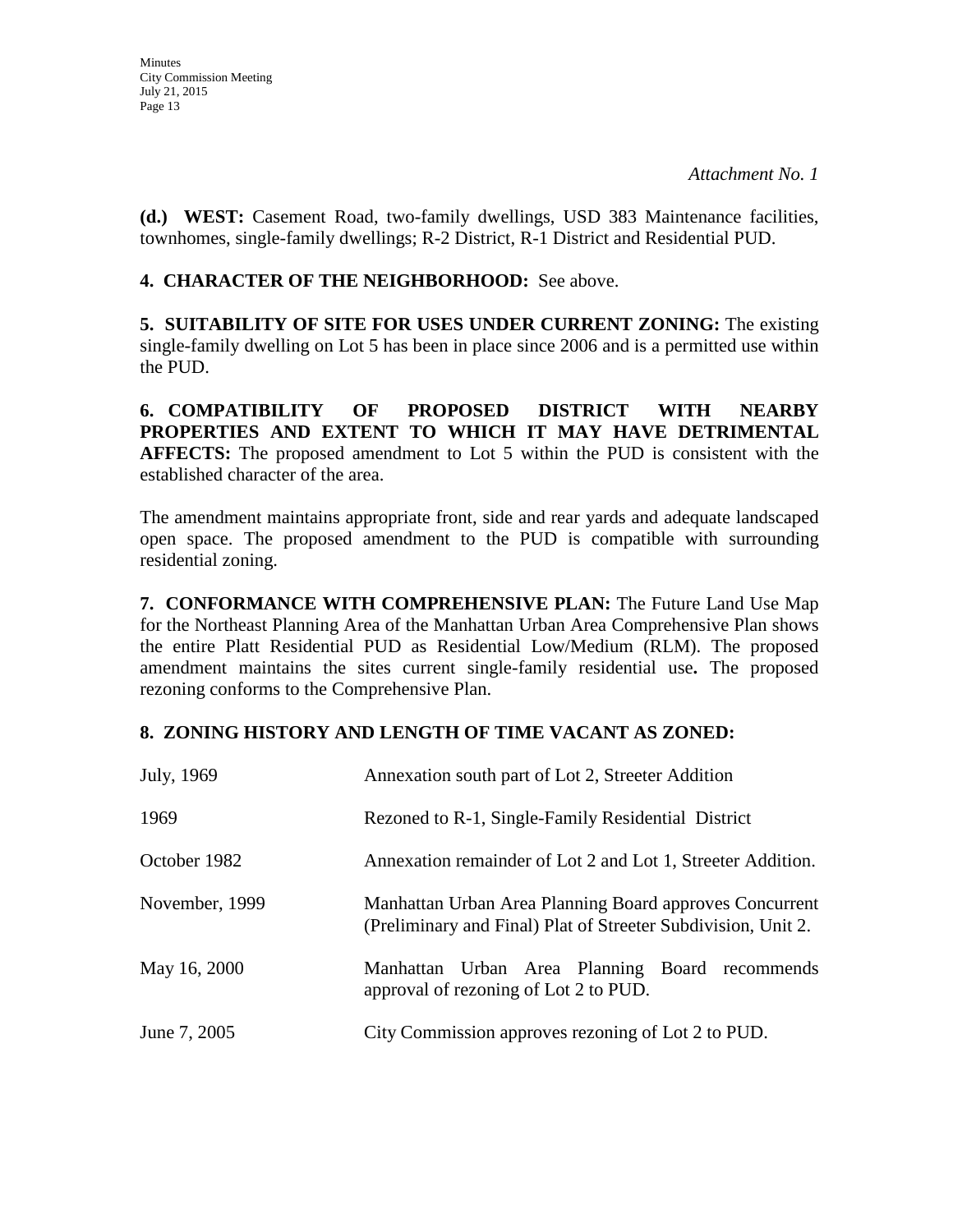**(d.) WEST:** Casement Road, two-family dwellings, USD 383 Maintenance facilities, townhomes, single-family dwellings; R-2 District, R-1 District and Residential PUD.

**4. CHARACTER OF THE NEIGHBORHOOD:** See above.

**5. SUITABILITY OF SITE FOR USES UNDER CURRENT ZONING:** The existing single-family dwelling on Lot 5 has been in place since 2006 and is a permitted use within the PUD.

**6. COMPATIBILITY OF PROPOSED DISTRICT WITH NEARBY PROPERTIES AND EXTENT TO WHICH IT MAY HAVE DETRIMENTAL AFFECTS:** The proposed amendment to Lot 5 within the PUD is consistent with the established character of the area.

The amendment maintains appropriate front, side and rear yards and adequate landscaped open space. The proposed amendment to the PUD is compatible with surrounding residential zoning.

**7. CONFORMANCE WITH COMPREHENSIVE PLAN:** The Future Land Use Map for the Northeast Planning Area of the Manhattan Urban Area Comprehensive Plan shows the entire Platt Residential PUD as Residential Low/Medium (RLM). The proposed amendment maintains the sites current single-family residential use**.** The proposed rezoning conforms to the Comprehensive Plan.

## **8. ZONING HISTORY AND LENGTH OF TIME VACANT AS ZONED:**

| July, 1969     | Annexation south part of Lot 2, Streeter Addition                                                                        |
|----------------|--------------------------------------------------------------------------------------------------------------------------|
| 1969           | Rezoned to R-1, Single-Family Residential District                                                                       |
| October 1982   | Annexation remainder of Lot 2 and Lot 1, Streeter Addition.                                                              |
| November, 1999 | Manhattan Urban Area Planning Board approves Concurrent<br>(Preliminary and Final) Plat of Streeter Subdivision, Unit 2. |
| May 16, 2000   | Manhattan Urban Area Planning Board recommends<br>approval of rezoning of Lot 2 to PUD.                                  |
| June 7, 2005   | City Commission approves rezoning of Lot 2 to PUD.                                                                       |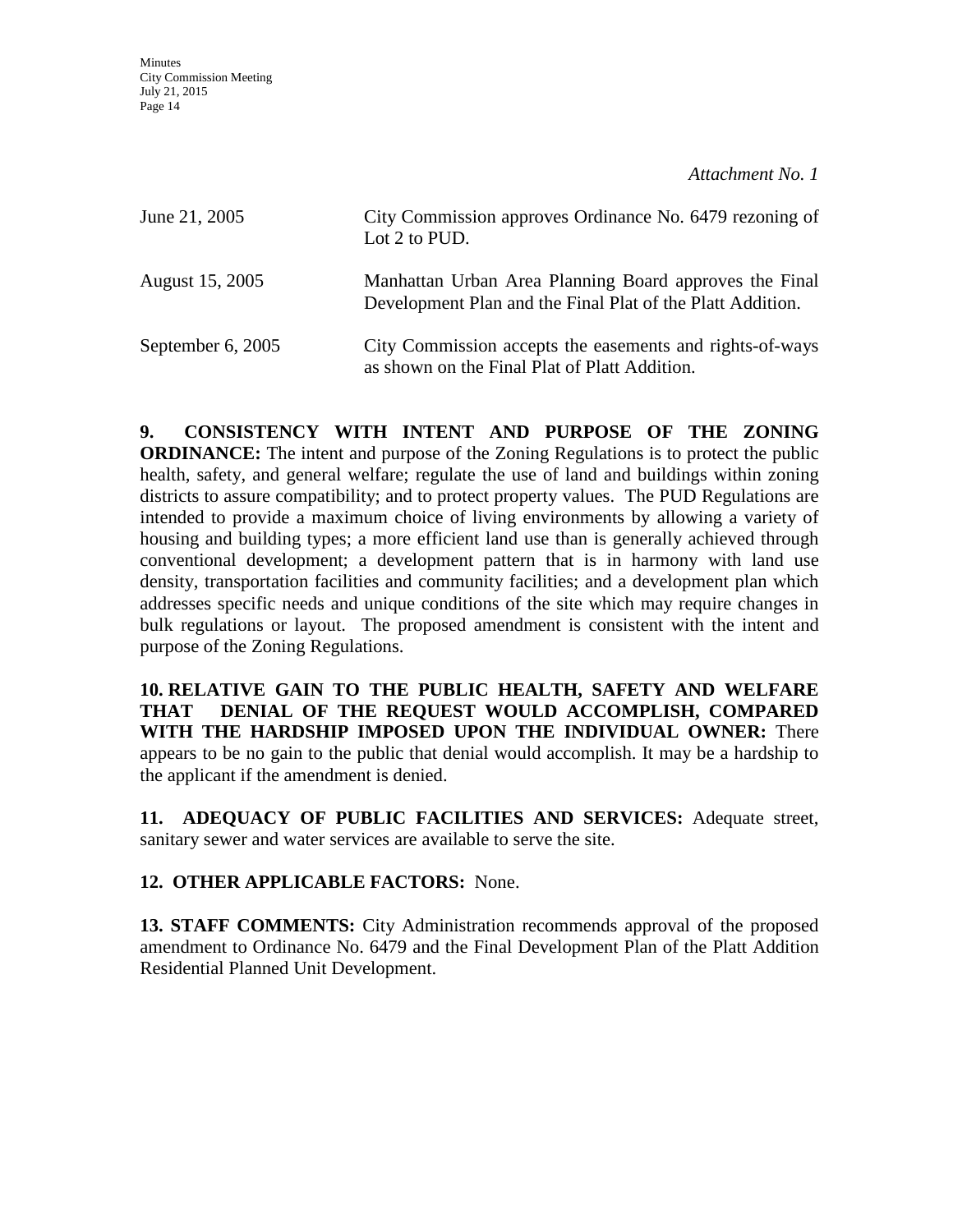| June 21, 2005     | City Commission approves Ordinance No. 6479 rezoning of<br>Lot 2 to PUD.                                             |
|-------------------|----------------------------------------------------------------------------------------------------------------------|
| August 15, 2005   | Manhattan Urban Area Planning Board approves the Final<br>Development Plan and the Final Plat of the Platt Addition. |
| September 6, 2005 | City Commission accepts the easements and rights-of-ways<br>as shown on the Final Plat of Platt Addition.            |

**9. CONSISTENCY WITH INTENT AND PURPOSE OF THE ZONING ORDINANCE:** The intent and purpose of the Zoning Regulations is to protect the public health, safety, and general welfare; regulate the use of land and buildings within zoning districts to assure compatibility; and to protect property values. The PUD Regulations are intended to provide a maximum choice of living environments by allowing a variety of housing and building types; a more efficient land use than is generally achieved through conventional development; a development pattern that is in harmony with land use density, transportation facilities and community facilities; and a development plan which addresses specific needs and unique conditions of the site which may require changes in bulk regulations or layout. The proposed amendment is consistent with the intent and purpose of the Zoning Regulations.

**10. RELATIVE GAIN TO THE PUBLIC HEALTH, SAFETY AND WELFARE THAT DENIAL OF THE REQUEST WOULD ACCOMPLISH, COMPARED WITH THE HARDSHIP IMPOSED UPON THE INDIVIDUAL OWNER:** There appears to be no gain to the public that denial would accomplish. It may be a hardship to the applicant if the amendment is denied.

**11. ADEQUACY OF PUBLIC FACILITIES AND SERVICES:** Adequate street, sanitary sewer and water services are available to serve the site.

**12. OTHER APPLICABLE FACTORS:** None.

**13. STAFF COMMENTS:** City Administration recommends approval of the proposed amendment to Ordinance No. 6479 and the Final Development Plan of the Platt Addition Residential Planned Unit Development.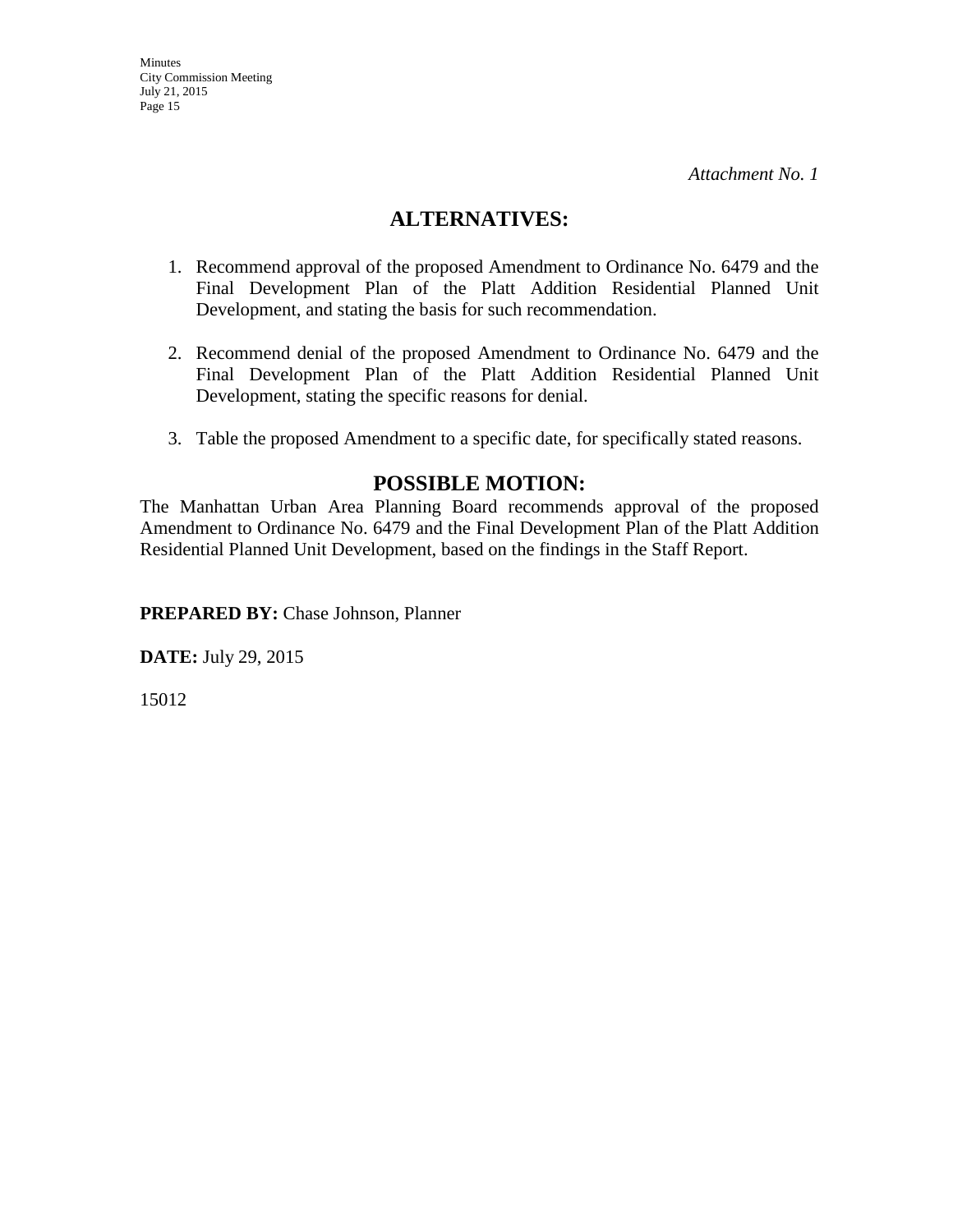## **ALTERNATIVES:**

- 1. Recommend approval of the proposed Amendment to Ordinance No. 6479 and the Final Development Plan of the Platt Addition Residential Planned Unit Development, and stating the basis for such recommendation.
- 2. Recommend denial of the proposed Amendment to Ordinance No. 6479 and the Final Development Plan of the Platt Addition Residential Planned Unit Development, stating the specific reasons for denial.
- 3. Table the proposed Amendment to a specific date, for specifically stated reasons.

## **POSSIBLE MOTION:**

The Manhattan Urban Area Planning Board recommends approval of the proposed Amendment to Ordinance No. 6479 and the Final Development Plan of the Platt Addition Residential Planned Unit Development, based on the findings in the Staff Report.

**PREPARED BY:** Chase Johnson, Planner

**DATE:** July 29, 2015

15012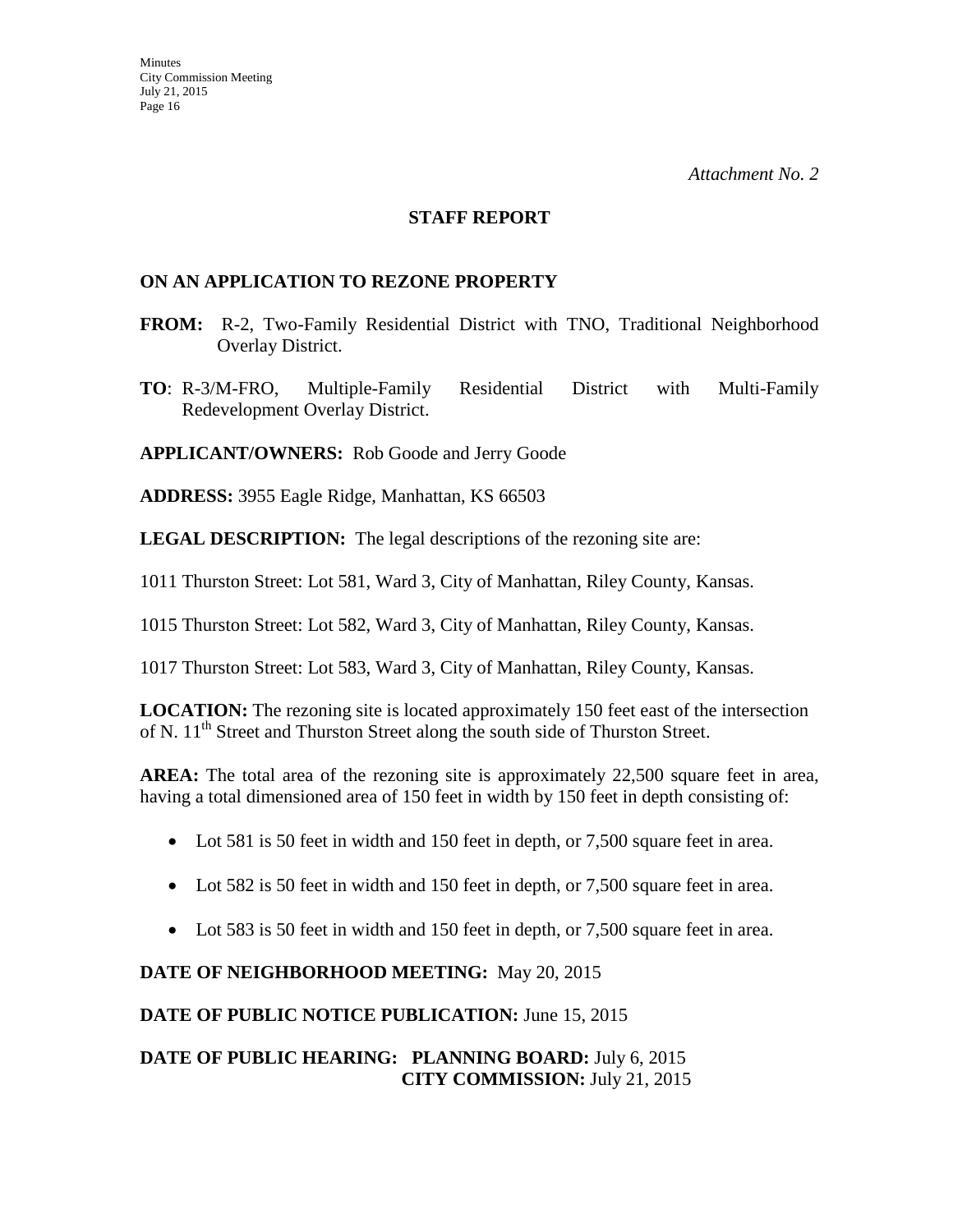#### **STAFF REPORT**

### **ON AN APPLICATION TO REZONE PROPERTY**

- **FROM:** R-2, Two-Family Residential District with TNO, Traditional Neighborhood Overlay District.
- **TO**: R-3/M-FRO, Multiple-Family Residential District with Multi-Family Redevelopment Overlay District.

**APPLICANT/OWNERS:** Rob Goode and Jerry Goode

**ADDRESS:** 3955 Eagle Ridge, Manhattan, KS 66503

**LEGAL DESCRIPTION:** The legal descriptions of the rezoning site are:

1011 Thurston Street: Lot 581, Ward 3, City of Manhattan, Riley County, Kansas.

1015 Thurston Street: Lot 582, Ward 3, City of Manhattan, Riley County, Kansas.

1017 Thurston Street: Lot 583, Ward 3, City of Manhattan, Riley County, Kansas.

**LOCATION:** The rezoning site is located approximately 150 feet east of the intersection of N. 11<sup>th</sup> Street and Thurston Street along the south side of Thurston Street.

**AREA:** The total area of the rezoning site is approximately 22,500 square feet in area, having a total dimensioned area of 150 feet in width by 150 feet in depth consisting of:

- Lot 581 is 50 feet in width and 150 feet in depth, or 7,500 square feet in area.
- Lot 582 is 50 feet in width and 150 feet in depth, or 7,500 square feet in area.
- Lot 583 is 50 feet in width and 150 feet in depth, or 7,500 square feet in area.

## **DATE OF NEIGHBORHOOD MEETING:** May 20, 2015

**DATE OF PUBLIC NOTICE PUBLICATION:** June 15, 2015

## **DATE OF PUBLIC HEARING: PLANNING BOARD:** July 6, 2015 **CITY COMMISSION:** July 21, 2015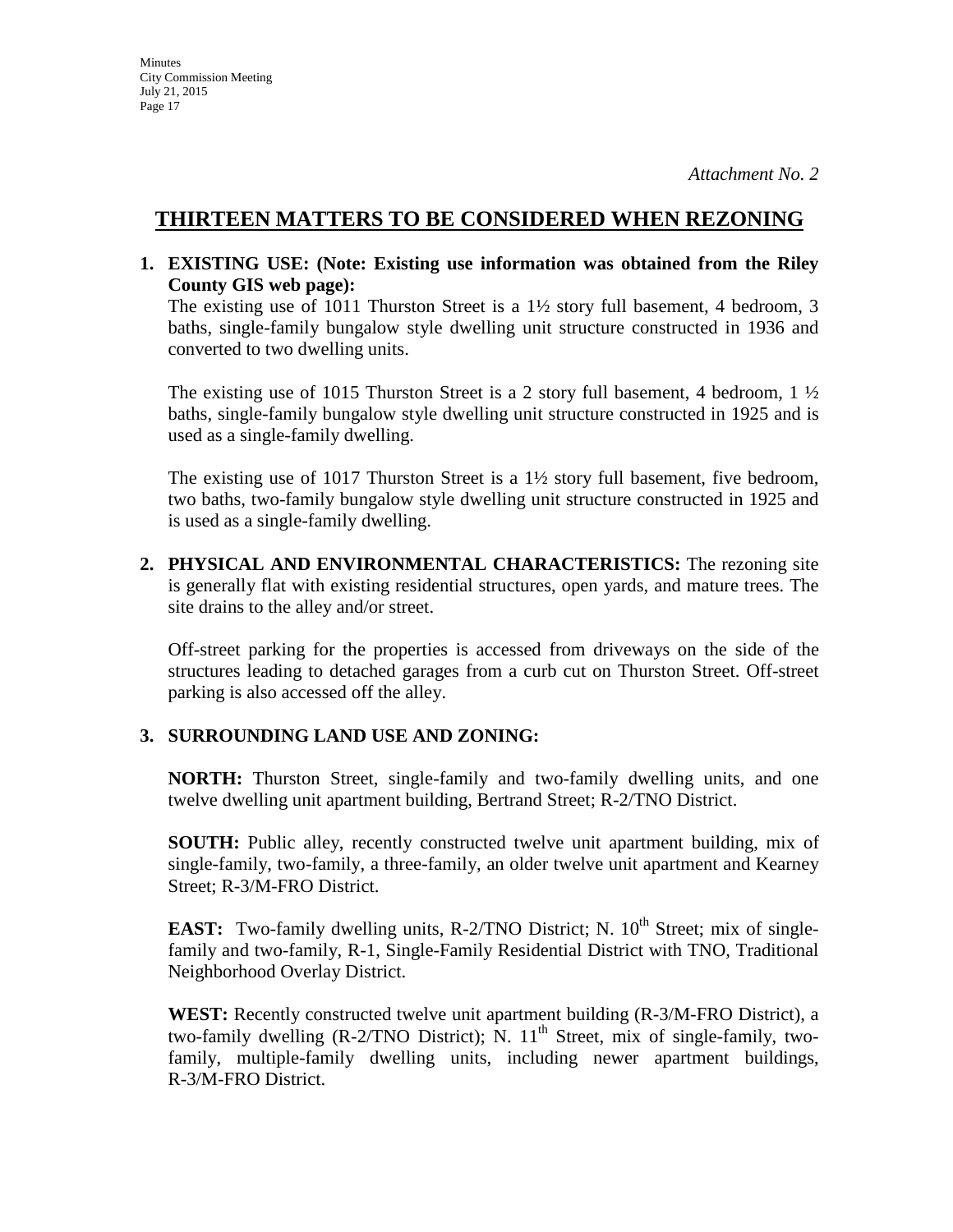## **THIRTEEN MATTERS TO BE CONSIDERED WHEN REZONING**

**1. EXISTING USE: (Note: Existing use information was obtained from the Riley County GIS web page):** 

The existing use of 1011 Thurston Street is a  $1\frac{1}{2}$  story full basement, 4 bedroom, 3 baths, single-family bungalow style dwelling unit structure constructed in 1936 and converted to two dwelling units.

The existing use of 1015 Thurston Street is a 2 story full basement, 4 bedroom, 1  $\frac{1}{2}$ baths, single-family bungalow style dwelling unit structure constructed in 1925 and is used as a single-family dwelling.

The existing use of 1017 Thurston Street is a 1½ story full basement, five bedroom, two baths, two-family bungalow style dwelling unit structure constructed in 1925 and is used as a single-family dwelling.

**2. PHYSICAL AND ENVIRONMENTAL CHARACTERISTICS:** The rezoning site is generally flat with existing residential structures, open yards, and mature trees. The site drains to the alley and/or street.

Off-street parking for the properties is accessed from driveways on the side of the structures leading to detached garages from a curb cut on Thurston Street. Off-street parking is also accessed off the alley.

## **3. SURROUNDING LAND USE AND ZONING:**

**NORTH:** Thurston Street, single-family and two-family dwelling units, and one twelve dwelling unit apartment building, Bertrand Street; R-2/TNO District.

**SOUTH:** Public alley, recently constructed twelve unit apartment building, mix of single-family, two-family, a three-family, an older twelve unit apartment and Kearney Street; R-3/M-FRO District.

**EAST:** Two-family dwelling units, R-2/TNO District; N.  $10^{th}$  Street; mix of singlefamily and two-family, R-1, Single-Family Residential District with TNO, Traditional Neighborhood Overlay District.

**WEST:** Recently constructed twelve unit apartment building (R-3/M-FRO District), a two-family dwelling  $(R-2/TNO\text{ District})$ ; N.  $11^{\text{th}}$  Street, mix of single-family, twofamily, multiple-family dwelling units, including newer apartment buildings, R-3/M-FRO District.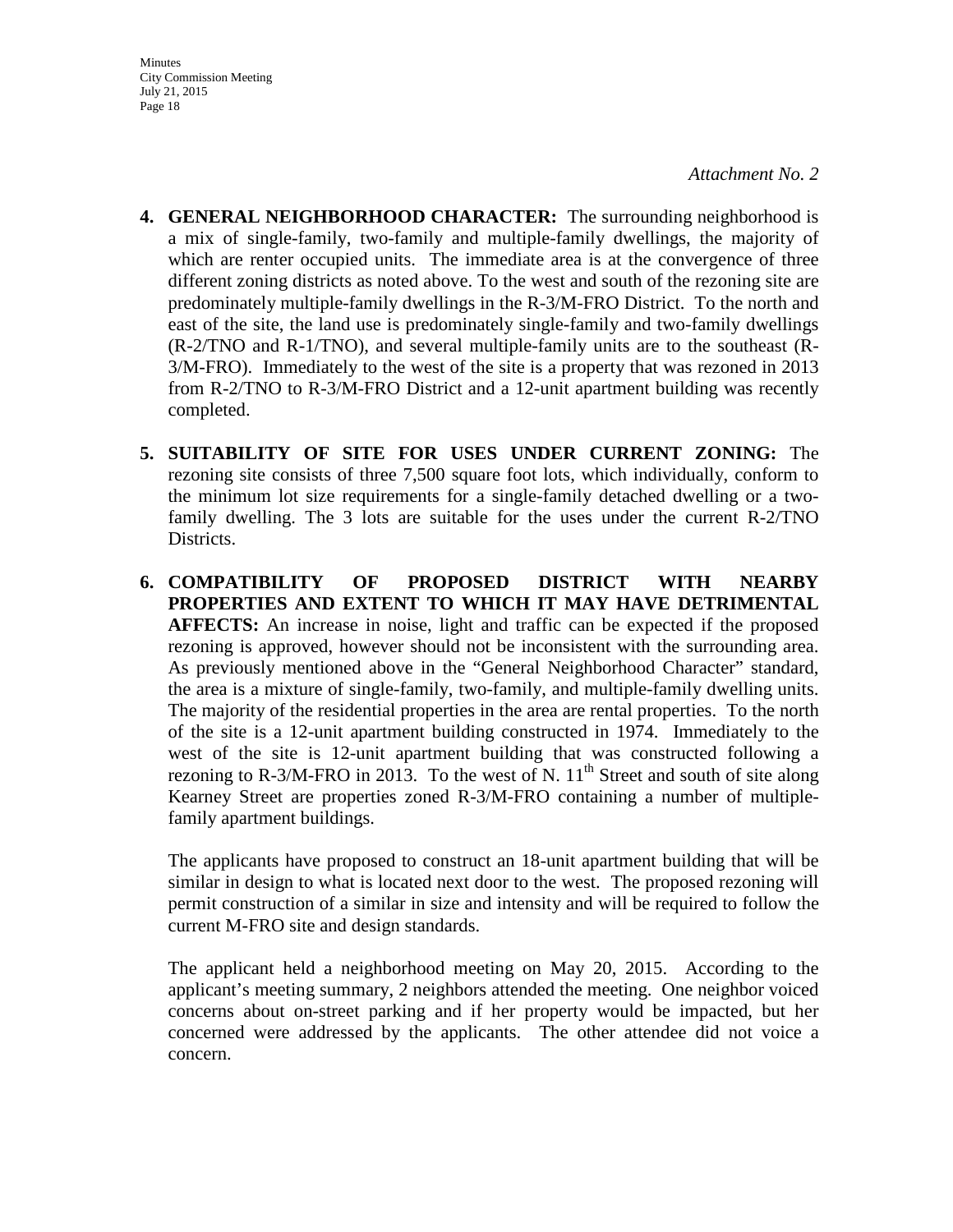- **4. GENERAL NEIGHBORHOOD CHARACTER:** The surrounding neighborhood is a mix of single-family, two-family and multiple-family dwellings, the majority of which are renter occupied units. The immediate area is at the convergence of three different zoning districts as noted above. To the west and south of the rezoning site are predominately multiple-family dwellings in the R-3/M-FRO District. To the north and east of the site, the land use is predominately single-family and two-family dwellings (R-2/TNO and R-1/TNO), and several multiple-family units are to the southeast (R-3/M-FRO). Immediately to the west of the site is a property that was rezoned in 2013 from R-2/TNO to R-3/M-FRO District and a 12-unit apartment building was recently completed.
- **5. SUITABILITY OF SITE FOR USES UNDER CURRENT ZONING:** The rezoning site consists of three 7,500 square foot lots, which individually, conform to the minimum lot size requirements for a single-family detached dwelling or a twofamily dwelling. The 3 lots are suitable for the uses under the current R-2/TNO Districts.
- **6. COMPATIBILITY OF PROPOSED DISTRICT WITH NEARBY PROPERTIES AND EXTENT TO WHICH IT MAY HAVE DETRIMENTAL AFFECTS:** An increase in noise, light and traffic can be expected if the proposed rezoning is approved, however should not be inconsistent with the surrounding area. As previously mentioned above in the "General Neighborhood Character" standard, the area is a mixture of single-family, two-family, and multiple-family dwelling units. The majority of the residential properties in the area are rental properties. To the north of the site is a 12-unit apartment building constructed in 1974. Immediately to the west of the site is 12-unit apartment building that was constructed following a rezoning to R-3/M-FRO in 2013. To the west of N.  $11<sup>th</sup>$  Street and south of site along Kearney Street are properties zoned R-3/M-FRO containing a number of multiplefamily apartment buildings.

The applicants have proposed to construct an 18-unit apartment building that will be similar in design to what is located next door to the west. The proposed rezoning will permit construction of a similar in size and intensity and will be required to follow the current M-FRO site and design standards.

The applicant held a neighborhood meeting on May 20, 2015. According to the applicant's meeting summary, 2 neighbors attended the meeting. One neighbor voiced concerns about on-street parking and if her property would be impacted, but her concerned were addressed by the applicants. The other attendee did not voice a concern.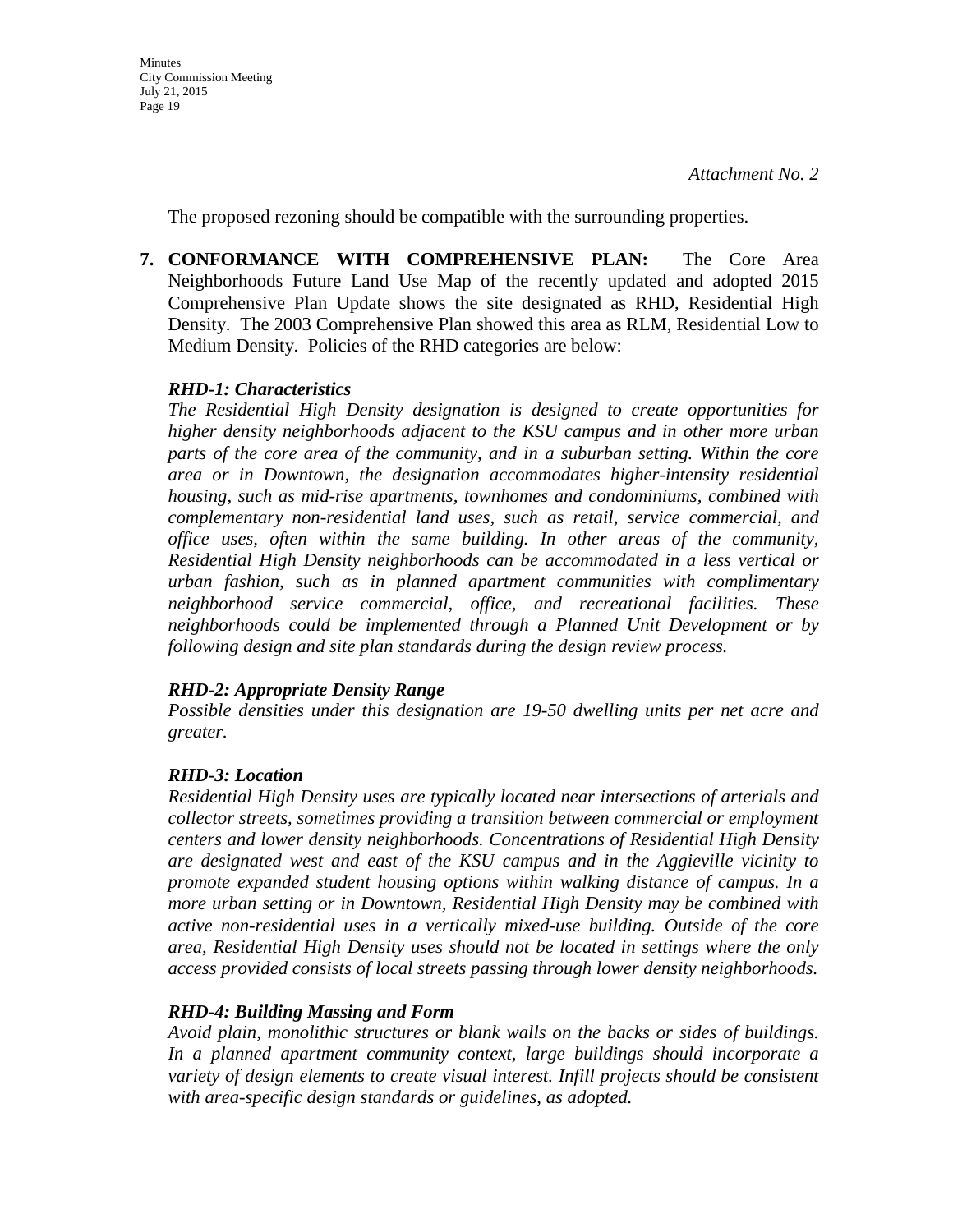The proposed rezoning should be compatible with the surrounding properties.

**7. CONFORMANCE WITH COMPREHENSIVE PLAN:** The Core Area Neighborhoods Future Land Use Map of the recently updated and adopted 2015 Comprehensive Plan Update shows the site designated as RHD, Residential High Density. The 2003 Comprehensive Plan showed this area as RLM, Residential Low to Medium Density. Policies of the RHD categories are below:

## *RHD-1: Characteristics*

*The Residential High Density designation is designed to create opportunities for higher density neighborhoods adjacent to the KSU campus and in other more urban parts of the core area of the community, and in a suburban setting. Within the core area or in Downtown, the designation accommodates higher-intensity residential housing, such as mid-rise apartments, townhomes and condominiums, combined with complementary non-residential land uses, such as retail, service commercial, and office uses, often within the same building. In other areas of the community, Residential High Density neighborhoods can be accommodated in a less vertical or urban fashion, such as in planned apartment communities with complimentary neighborhood service commercial, office, and recreational facilities. These neighborhoods could be implemented through a Planned Unit Development or by following design and site plan standards during the design review process.* 

## *RHD-2: Appropriate Density Range*

*Possible densities under this designation are 19-50 dwelling units per net acre and greater.*

## *RHD-3: Location*

*Residential High Density uses are typically located near intersections of arterials and collector streets, sometimes providing a transition between commercial or employment centers and lower density neighborhoods. Concentrations of Residential High Density are designated west and east of the KSU campus and in the Aggieville vicinity to promote expanded student housing options within walking distance of campus. In a more urban setting or in Downtown, Residential High Density may be combined with active non-residential uses in a vertically mixed-use building. Outside of the core area, Residential High Density uses should not be located in settings where the only access provided consists of local streets passing through lower density neighborhoods.* 

## *RHD-4: Building Massing and Form*

*Avoid plain, monolithic structures or blank walls on the backs or sides of buildings. In a planned apartment community context, large buildings should incorporate a variety of design elements to create visual interest. Infill projects should be consistent with area-specific design standards or guidelines, as adopted.*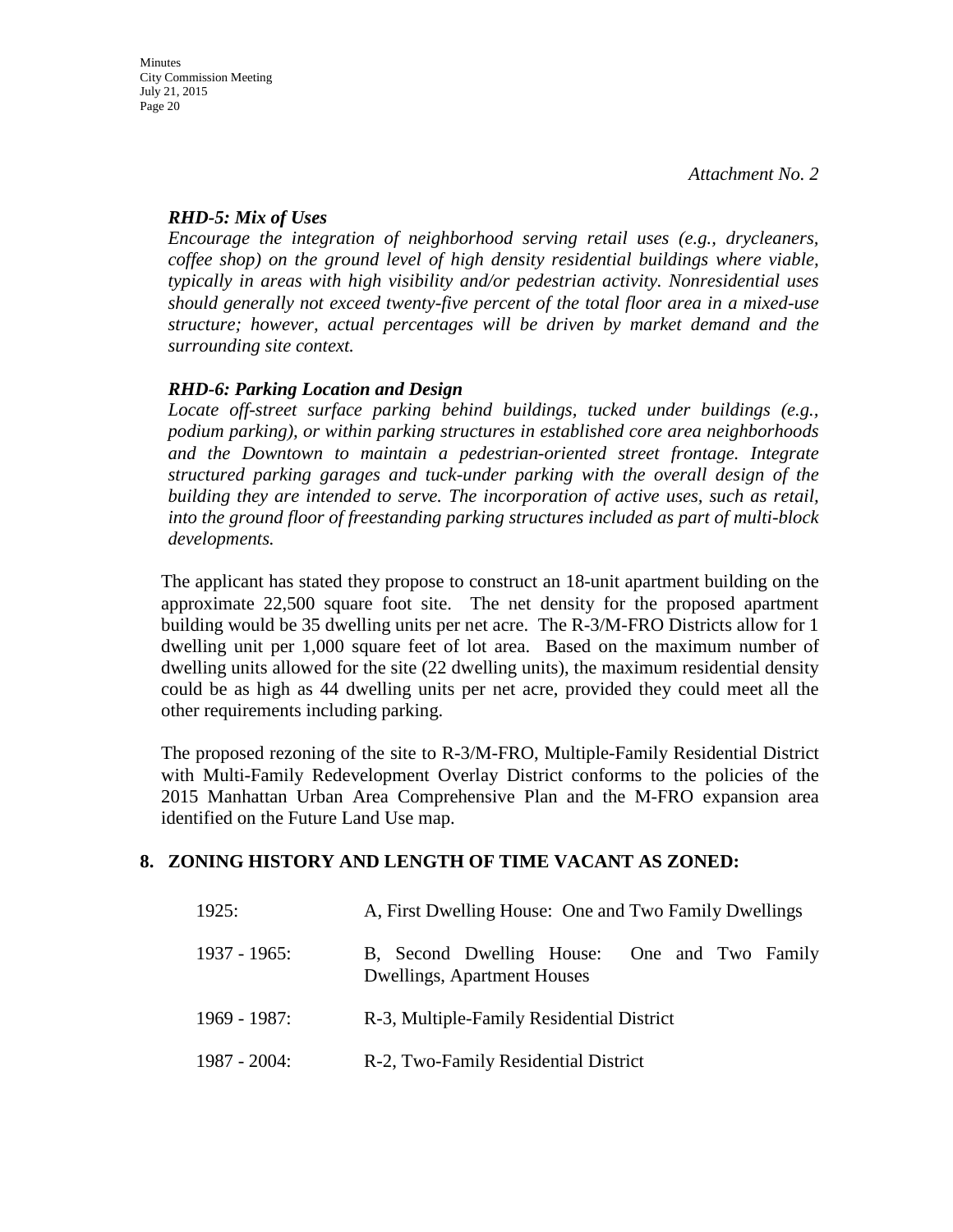## *RHD-5: Mix of Uses*

*Encourage the integration of neighborhood serving retail uses (e.g., drycleaners, coffee shop) on the ground level of high density residential buildings where viable, typically in areas with high visibility and/or pedestrian activity. Nonresidential uses should generally not exceed twenty-five percent of the total floor area in a mixed-use structure; however, actual percentages will be driven by market demand and the surrounding site context.* 

## *RHD-6: Parking Location and Design*

*Locate off-street surface parking behind buildings, tucked under buildings (e.g., podium parking), or within parking structures in established core area neighborhoods*  and the Downtown to maintain a pedestrian-oriented street frontage. Integrate *structured parking garages and tuck-under parking with the overall design of the building they are intended to serve. The incorporation of active uses, such as retail, into the ground floor of freestanding parking structures included as part of multi-block developments.*

The applicant has stated they propose to construct an 18-unit apartment building on the approximate 22,500 square foot site. The net density for the proposed apartment building would be 35 dwelling units per net acre. The R-3/M-FRO Districts allow for 1 dwelling unit per 1,000 square feet of lot area. Based on the maximum number of dwelling units allowed for the site (22 dwelling units), the maximum residential density could be as high as 44 dwelling units per net acre, provided they could meet all the other requirements including parking.

The proposed rezoning of the site to R-3/M-FRO, Multiple-Family Residential District with Multi-Family Redevelopment Overlay District conforms to the policies of the 2015 Manhattan Urban Area Comprehensive Plan and the M-FRO expansion area identified on the Future Land Use map.

## **8. ZONING HISTORY AND LENGTH OF TIME VACANT AS ZONED:**

| 1925:           | A, First Dwelling House: One and Two Family Dwellings                              |
|-----------------|------------------------------------------------------------------------------------|
| $1937 - 1965$ : | B, Second Dwelling House: One and Two Family<br><b>Dwellings, Apartment Houses</b> |
| $1969 - 1987$ : | R-3, Multiple-Family Residential District                                          |
| $1987 - 2004$ : | R-2, Two-Family Residential District                                               |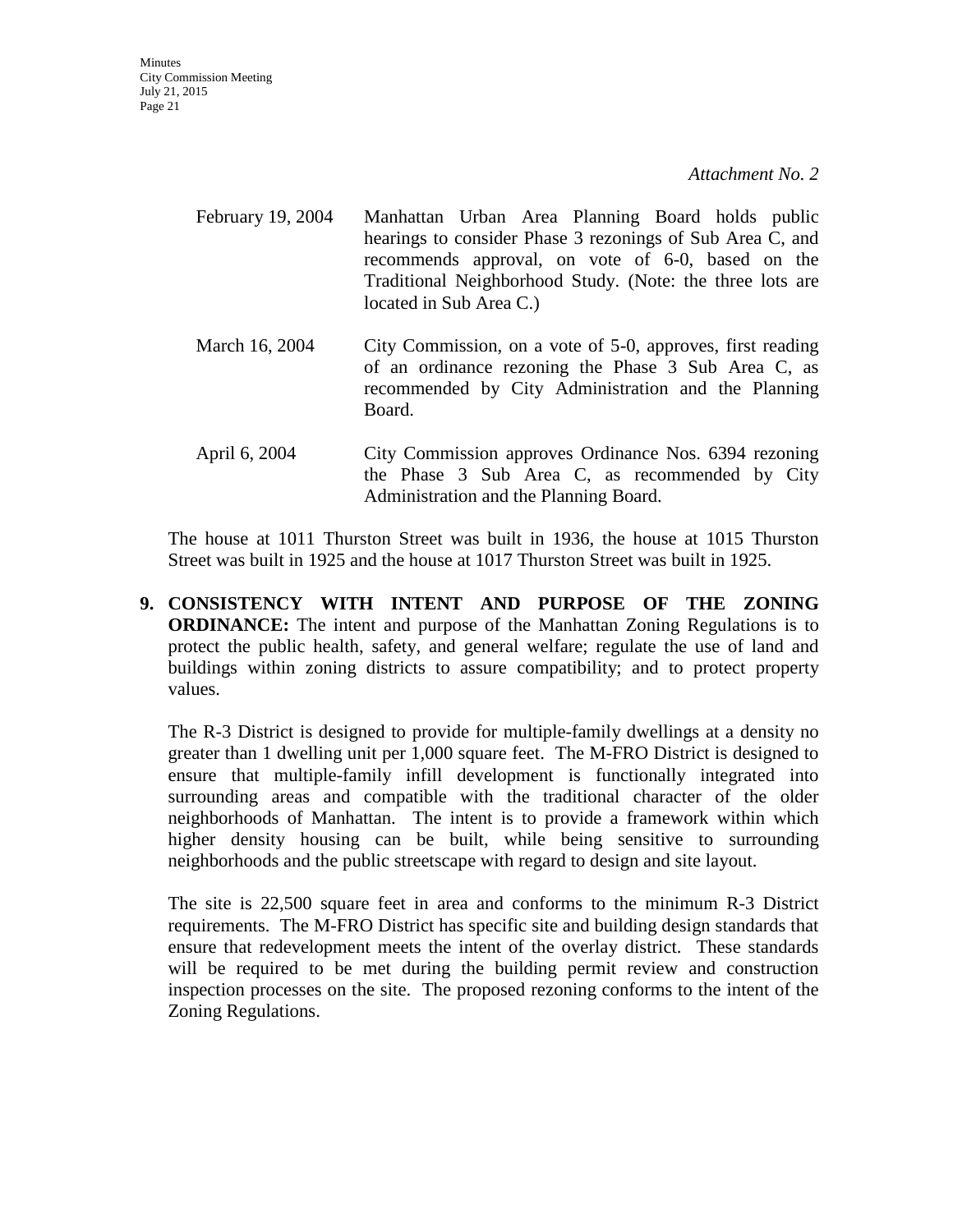**Minutes** City Commission Meeting July 21, 2015 Page 21

*Attachment No. 2*

- February 19, 2004 Manhattan Urban Area Planning Board holds public hearings to consider Phase 3 rezonings of Sub Area C, and recommends approval, on vote of 6-0, based on the Traditional Neighborhood Study. (Note: the three lots are located in Sub Area C.) March 16, 2004 City Commission, on a vote of 5-0, approves, first reading of an ordinance rezoning the Phase 3 Sub Area C, as recommended by City Administration and the Planning Board. April 6, 2004 City Commission approves Ordinance Nos. 6394 rezoning
- the Phase 3 Sub Area C, as recommended by City Administration and the Planning Board.

The house at 1011 Thurston Street was built in 1936, the house at 1015 Thurston Street was built in 1925 and the house at 1017 Thurston Street was built in 1925.

**9. CONSISTENCY WITH INTENT AND PURPOSE OF THE ZONING ORDINANCE:** The intent and purpose of the Manhattan Zoning Regulations is to protect the public health, safety, and general welfare; regulate the use of land and buildings within zoning districts to assure compatibility; and to protect property values.

The R-3 District is designed to provide for multiple-family dwellings at a density no greater than 1 dwelling unit per 1,000 square feet. The M-FRO District is designed to ensure that multiple-family infill development is functionally integrated into surrounding areas and compatible with the traditional character of the older neighborhoods of Manhattan. The intent is to provide a framework within which higher density housing can be built, while being sensitive to surrounding neighborhoods and the public streetscape with regard to design and site layout.

The site is 22,500 square feet in area and conforms to the minimum R-3 District requirements. The M-FRO District has specific site and building design standards that ensure that redevelopment meets the intent of the overlay district. These standards will be required to be met during the building permit review and construction inspection processes on the site. The proposed rezoning conforms to the intent of the Zoning Regulations.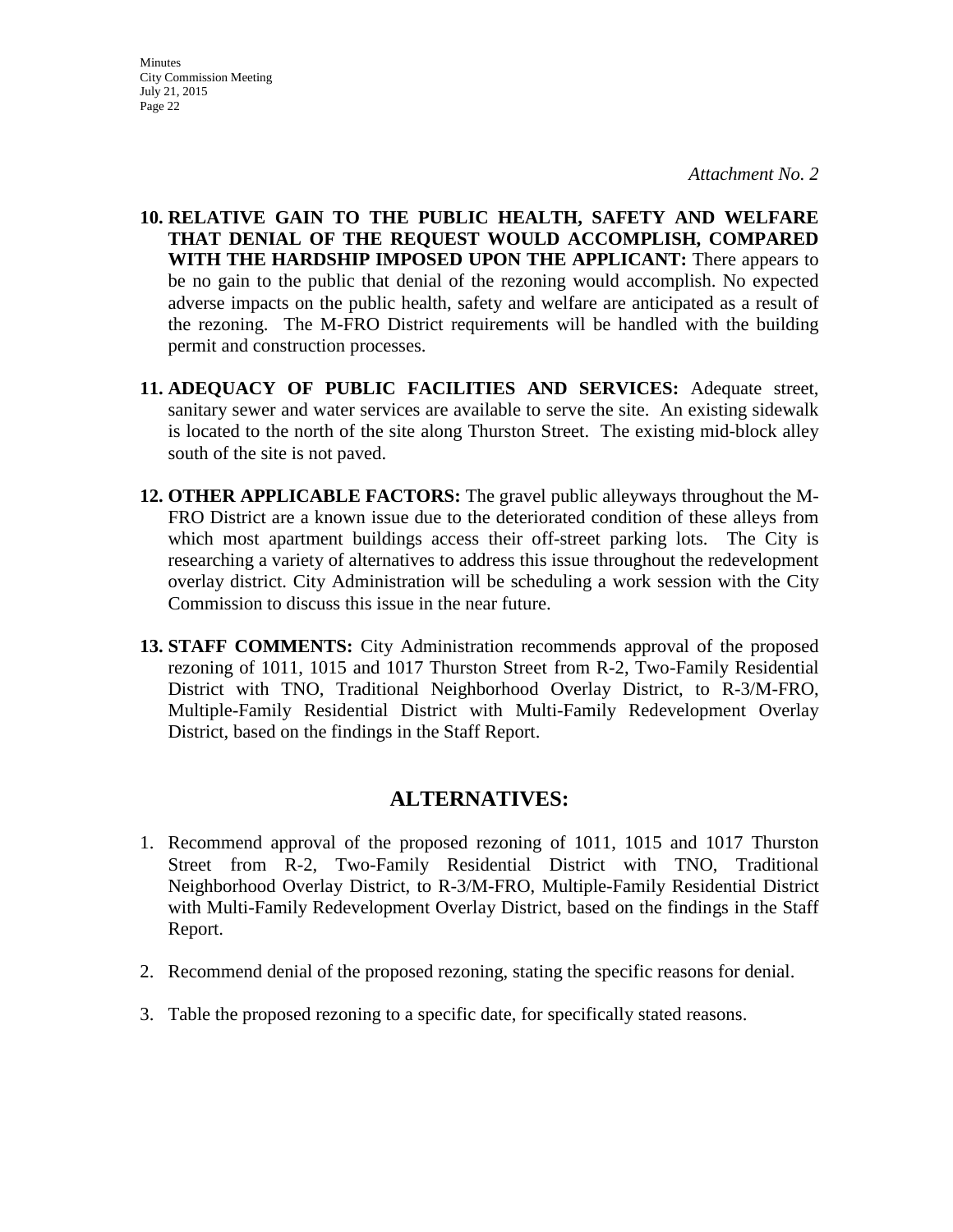**10. RELATIVE GAIN TO THE PUBLIC HEALTH, SAFETY AND WELFARE THAT DENIAL OF THE REQUEST WOULD ACCOMPLISH, COMPARED WITH THE HARDSHIP IMPOSED UPON THE APPLICANT:** There appears to be no gain to the public that denial of the rezoning would accomplish. No expected adverse impacts on the public health, safety and welfare are anticipated as a result of the rezoning. The M-FRO District requirements will be handled with the building permit and construction processes.

- **11. ADEQUACY OF PUBLIC FACILITIES AND SERVICES:** Adequate street, sanitary sewer and water services are available to serve the site. An existing sidewalk is located to the north of the site along Thurston Street. The existing mid-block alley south of the site is not paved.
- **12. OTHER APPLICABLE FACTORS:** The gravel public alleyways throughout the M-FRO District are a known issue due to the deteriorated condition of these alleys from which most apartment buildings access their off-street parking lots. The City is researching a variety of alternatives to address this issue throughout the redevelopment overlay district. City Administration will be scheduling a work session with the City Commission to discuss this issue in the near future.
- **13. STAFF COMMENTS:** City Administration recommends approval of the proposed rezoning of 1011, 1015 and 1017 Thurston Street from R-2, Two-Family Residential District with TNO, Traditional Neighborhood Overlay District, to R-3/M-FRO, Multiple-Family Residential District with Multi-Family Redevelopment Overlay District, based on the findings in the Staff Report.

## **ALTERNATIVES:**

- 1. Recommend approval of the proposed rezoning of 1011, 1015 and 1017 Thurston Street from R-2, Two-Family Residential District with TNO, Traditional Neighborhood Overlay District, to R-3/M-FRO, Multiple-Family Residential District with Multi-Family Redevelopment Overlay District, based on the findings in the Staff Report.
- 2. Recommend denial of the proposed rezoning, stating the specific reasons for denial.
- 3. Table the proposed rezoning to a specific date, for specifically stated reasons.